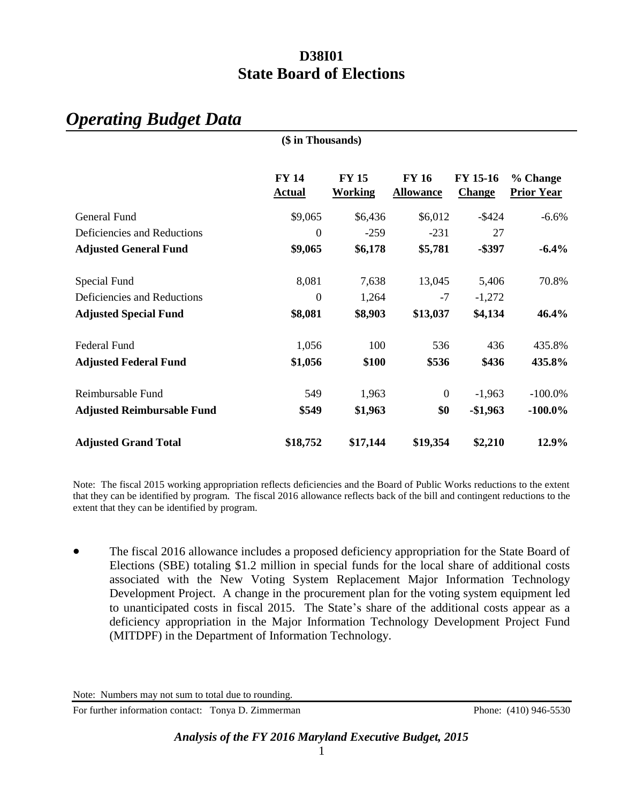# *Operating Budget Data*

|                                   | (\$ in Thousands)             |                                |                                  |                           |                               |
|-----------------------------------|-------------------------------|--------------------------------|----------------------------------|---------------------------|-------------------------------|
|                                   | <b>FY 14</b><br><b>Actual</b> | <b>FY 15</b><br><b>Working</b> | <b>FY 16</b><br><b>Allowance</b> | FY 15-16<br><b>Change</b> | % Change<br><b>Prior Year</b> |
| General Fund                      | \$9,065                       | \$6,436                        | \$6,012                          | $-$ \$424                 | $-6.6%$                       |
| Deficiencies and Reductions       | $\overline{0}$                | $-259$                         | $-231$                           | 27                        |                               |
| <b>Adjusted General Fund</b>      | \$9,065                       | \$6,178                        | \$5,781                          | $-$ \$397                 | $-6.4%$                       |
| Special Fund                      | 8,081                         | 7,638                          | 13,045                           | 5,406                     | 70.8%                         |
| Deficiencies and Reductions       | $\Omega$                      | 1,264                          | $-7$                             | $-1,272$                  |                               |
| <b>Adjusted Special Fund</b>      | \$8,081                       | \$8,903                        | \$13,037                         | \$4,134                   | 46.4%                         |
| <b>Federal Fund</b>               | 1,056                         | 100                            | 536                              | 436                       | 435.8%                        |
| <b>Adjusted Federal Fund</b>      | \$1,056                       | \$100                          | \$536                            | \$436                     | 435.8%                        |
| Reimbursable Fund                 | 549                           | 1,963                          | $\boldsymbol{0}$                 | $-1,963$                  | $-100.0\%$                    |
| <b>Adjusted Reimbursable Fund</b> | \$549                         | \$1,963                        | \$0                              | $-$1,963$                 | $-100.0\%$                    |
| <b>Adjusted Grand Total</b>       | \$18,752                      | \$17,144                       | \$19,354                         | \$2,210                   | 12.9%                         |

Note: The fiscal 2015 working appropriation reflects deficiencies and the Board of Public Works reductions to the extent that they can be identified by program. The fiscal 2016 allowance reflects back of the bill and contingent reductions to the extent that they can be identified by program.

 The fiscal 2016 allowance includes a proposed deficiency appropriation for the State Board of Elections (SBE) totaling \$1.2 million in special funds for the local share of additional costs associated with the New Voting System Replacement Major Information Technology Development Project. A change in the procurement plan for the voting system equipment led to unanticipated costs in fiscal 2015. The State's share of the additional costs appear as a deficiency appropriation in the Major Information Technology Development Project Fund (MITDPF) in the Department of Information Technology.

Note: Numbers may not sum to total due to rounding.

For further information contact: Tonya D. Zimmerman Phone: (410) 946-5530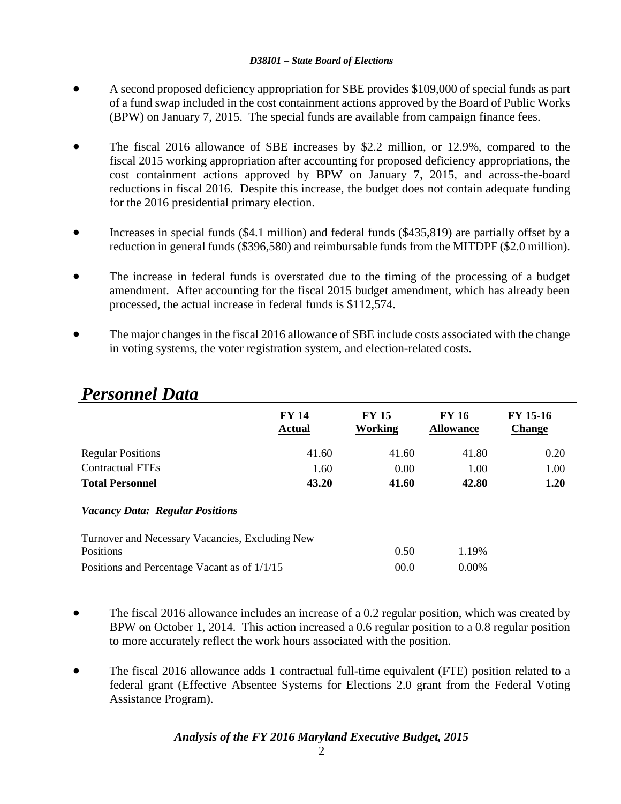- A second proposed deficiency appropriation for SBE provides \$109,000 of special funds as part of a fund swap included in the cost containment actions approved by the Board of Public Works (BPW) on January 7, 2015. The special funds are available from campaign finance fees.
- The fiscal 2016 allowance of SBE increases by \$2.2 million, or 12.9%, compared to the fiscal 2015 working appropriation after accounting for proposed deficiency appropriations, the cost containment actions approved by BPW on January 7, 2015, and across-the-board reductions in fiscal 2016. Despite this increase, the budget does not contain adequate funding for the 2016 presidential primary election.
- Increases in special funds (\$4.1 million) and federal funds (\$435,819) are partially offset by a reduction in general funds (\$396,580) and reimbursable funds from the MITDPF (\$2.0 million).
- The increase in federal funds is overstated due to the timing of the processing of a budget amendment. After accounting for the fiscal 2015 budget amendment, which has already been processed, the actual increase in federal funds is \$112,574.
- The major changes in the fiscal 2016 allowance of SBE include costs associated with the change in voting systems, the voter registration system, and election-related costs.

|                                                 | <b>FY 14</b><br><b>Actual</b> | <b>FY 15</b><br>Working | <b>FY 16</b><br><b>Allowance</b> | <b>FY 15-16</b><br><b>Change</b> |
|-------------------------------------------------|-------------------------------|-------------------------|----------------------------------|----------------------------------|
| <b>Regular Positions</b>                        | 41.60                         | 41.60                   | 41.80                            | 0.20                             |
| <b>Contractual FTEs</b>                         | 1.60                          | 0.00                    | 1.00                             | 1.00                             |
| <b>Total Personnel</b>                          | 43.20                         | 41.60                   | 42.80                            | 1.20                             |
| <b>Vacancy Data: Regular Positions</b>          |                               |                         |                                  |                                  |
| Turnover and Necessary Vacancies, Excluding New |                               |                         |                                  |                                  |
| Positions                                       |                               | 0.50                    | 1.19%                            |                                  |
| Positions and Percentage Vacant as of 1/1/15    |                               | 00.0                    | 0.00%                            |                                  |

# *Personnel Data*

- The fiscal 2016 allowance includes an increase of a 0.2 regular position, which was created by BPW on October 1, 2014. This action increased a 0.6 regular position to a 0.8 regular position to more accurately reflect the work hours associated with the position.
- The fiscal 2016 allowance adds 1 contractual full-time equivalent (FTE) position related to a federal grant (Effective Absentee Systems for Elections 2.0 grant from the Federal Voting Assistance Program).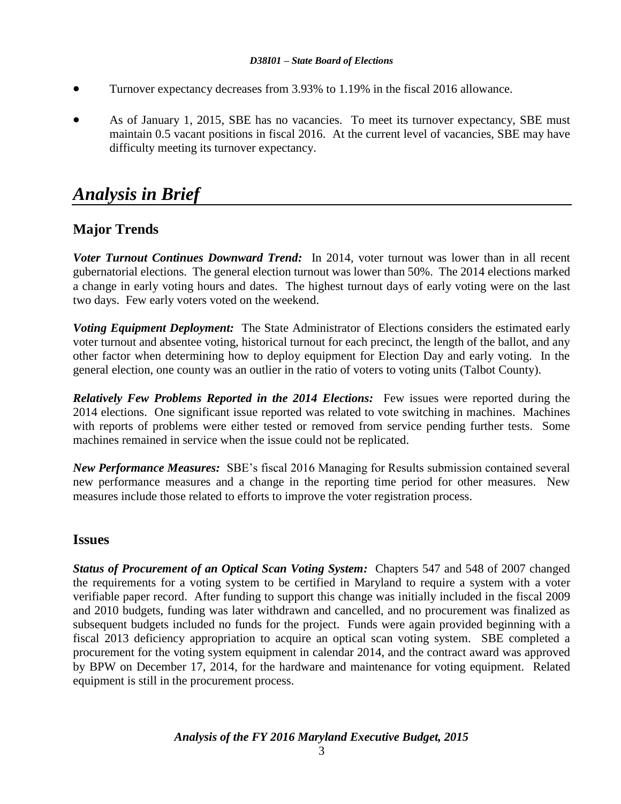- Turnover expectancy decreases from 3.93% to 1.19% in the fiscal 2016 allowance.
- As of January 1, 2015, SBE has no vacancies. To meet its turnover expectancy, SBE must maintain 0.5 vacant positions in fiscal 2016. At the current level of vacancies, SBE may have difficulty meeting its turnover expectancy.

# *Analysis in Brief*

## **Major Trends**

*Voter Turnout Continues Downward Trend:* In 2014, voter turnout was lower than in all recent gubernatorial elections. The general election turnout was lower than 50%. The 2014 elections marked a change in early voting hours and dates. The highest turnout days of early voting were on the last two days. Few early voters voted on the weekend.

*Voting Equipment Deployment:* The State Administrator of Elections considers the estimated early voter turnout and absentee voting, historical turnout for each precinct, the length of the ballot, and any other factor when determining how to deploy equipment for Election Day and early voting. In the general election, one county was an outlier in the ratio of voters to voting units (Talbot County).

*Relatively Few Problems Reported in the 2014 Elections:* Few issues were reported during the 2014 elections. One significant issue reported was related to vote switching in machines. Machines with reports of problems were either tested or removed from service pending further tests. Some machines remained in service when the issue could not be replicated.

*New Performance Measures:* SBE's fiscal 2016 Managing for Results submission contained several new performance measures and a change in the reporting time period for other measures. New measures include those related to efforts to improve the voter registration process.

### **Issues**

*Status of Procurement of an Optical Scan Voting System:* Chapters 547 and 548 of 2007 changed the requirements for a voting system to be certified in Maryland to require a system with a voter verifiable paper record. After funding to support this change was initially included in the fiscal 2009 and 2010 budgets, funding was later withdrawn and cancelled, and no procurement was finalized as subsequent budgets included no funds for the project. Funds were again provided beginning with a fiscal 2013 deficiency appropriation to acquire an optical scan voting system. SBE completed a procurement for the voting system equipment in calendar 2014, and the contract award was approved by BPW on December 17, 2014, for the hardware and maintenance for voting equipment. Related equipment is still in the procurement process.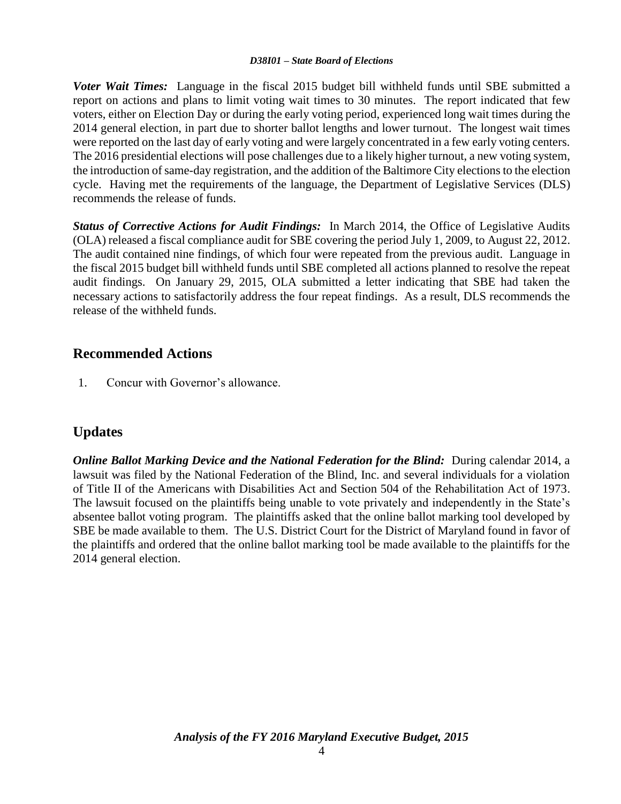*Voter Wait Times:* Language in the fiscal 2015 budget bill withheld funds until SBE submitted a report on actions and plans to limit voting wait times to 30 minutes. The report indicated that few voters, either on Election Day or during the early voting period, experienced long wait times during the 2014 general election, in part due to shorter ballot lengths and lower turnout. The longest wait times were reported on the last day of early voting and were largely concentrated in a few early voting centers. The 2016 presidential elections will pose challenges due to a likely higher turnout, a new voting system, the introduction of same-day registration, and the addition of the Baltimore City elections to the election cycle. Having met the requirements of the language, the Department of Legislative Services (DLS) recommends the release of funds.

*Status of Corrective Actions for Audit Findings:* In March 2014, the Office of Legislative Audits (OLA) released a fiscal compliance audit for SBE covering the period July 1, 2009, to August 22, 2012. The audit contained nine findings, of which four were repeated from the previous audit. Language in the fiscal 2015 budget bill withheld funds until SBE completed all actions planned to resolve the repeat audit findings. On January 29, 2015, OLA submitted a letter indicating that SBE had taken the necessary actions to satisfactorily address the four repeat findings. As a result, DLS recommends the release of the withheld funds.

# **Recommended Actions**

1. Concur with Governor's allowance.

# **Updates**

*Online Ballot Marking Device and the National Federation for the Blind:* During calendar 2014, a lawsuit was filed by the National Federation of the Blind, Inc. and several individuals for a violation of Title II of the Americans with Disabilities Act and Section 504 of the Rehabilitation Act of 1973. The lawsuit focused on the plaintiffs being unable to vote privately and independently in the State's absentee ballot voting program. The plaintiffs asked that the online ballot marking tool developed by SBE be made available to them. The U.S. District Court for the District of Maryland found in favor of the plaintiffs and ordered that the online ballot marking tool be made available to the plaintiffs for the 2014 general election.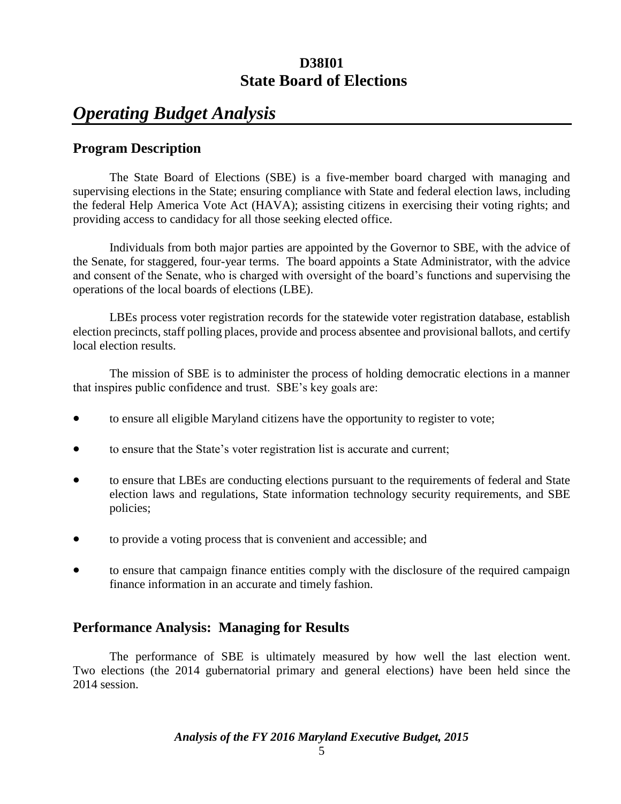# *Operating Budget Analysis*

## **Program Description**

The State Board of Elections (SBE) is a five-member board charged with managing and supervising elections in the State; ensuring compliance with State and federal election laws, including the federal Help America Vote Act (HAVA); assisting citizens in exercising their voting rights; and providing access to candidacy for all those seeking elected office.

Individuals from both major parties are appointed by the Governor to SBE, with the advice of the Senate, for staggered, four-year terms. The board appoints a State Administrator, with the advice and consent of the Senate, who is charged with oversight of the board's functions and supervising the operations of the local boards of elections (LBE).

LBEs process voter registration records for the statewide voter registration database, establish election precincts, staff polling places, provide and process absentee and provisional ballots, and certify local election results.

The mission of SBE is to administer the process of holding democratic elections in a manner that inspires public confidence and trust. SBE's key goals are:

- to ensure all eligible Maryland citizens have the opportunity to register to vote;
- to ensure that the State's voter registration list is accurate and current;
- to ensure that LBEs are conducting elections pursuant to the requirements of federal and State election laws and regulations, State information technology security requirements, and SBE policies;
- to provide a voting process that is convenient and accessible; and
- to ensure that campaign finance entities comply with the disclosure of the required campaign finance information in an accurate and timely fashion.

## **Performance Analysis: Managing for Results**

The performance of SBE is ultimately measured by how well the last election went. Two elections (the 2014 gubernatorial primary and general elections) have been held since the 2014 session.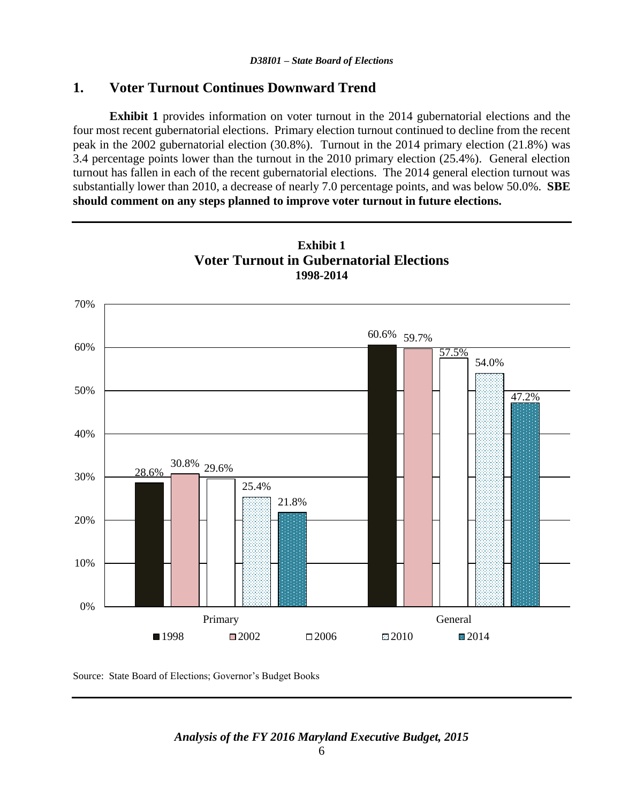### **1. Voter Turnout Continues Downward Trend**

**Exhibit 1** provides information on voter turnout in the 2014 gubernatorial elections and the four most recent gubernatorial elections. Primary election turnout continued to decline from the recent peak in the 2002 gubernatorial election (30.8%). Turnout in the 2014 primary election (21.8%) was 3.4 percentage points lower than the turnout in the 2010 primary election (25.4%). General election turnout has fallen in each of the recent gubernatorial elections. The 2014 general election turnout was substantially lower than 2010, a decrease of nearly 7.0 percentage points, and was below 50.0%. **SBE should comment on any steps planned to improve voter turnout in future elections.**



Source: State Board of Elections; Governor's Budget Books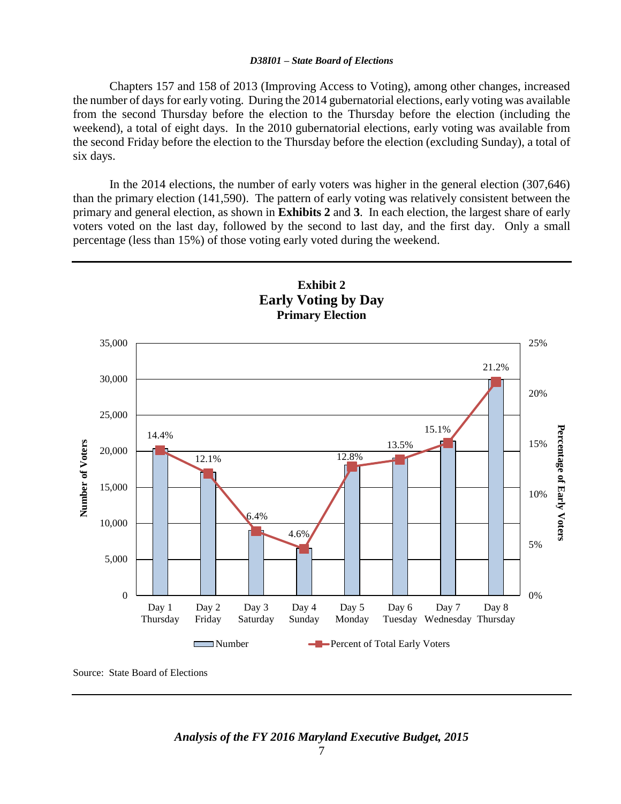Chapters 157 and 158 of 2013 (Improving Access to Voting), among other changes, increased the number of days for early voting. During the 2014 gubernatorial elections, early voting was available from the second Thursday before the election to the Thursday before the election (including the weekend), a total of eight days. In the 2010 gubernatorial elections, early voting was available from the second Friday before the election to the Thursday before the election (excluding Sunday), a total of six days.

In the 2014 elections, the number of early voters was higher in the general election (307,646) than the primary election (141,590). The pattern of early voting was relatively consistent between the primary and general election, as shown in **Exhibits 2** and **3**. In each election, the largest share of early voters voted on the last day, followed by the second to last day, and the first day. Only a small percentage (less than 15%) of those voting early voted during the weekend.



Source: State Board of Elections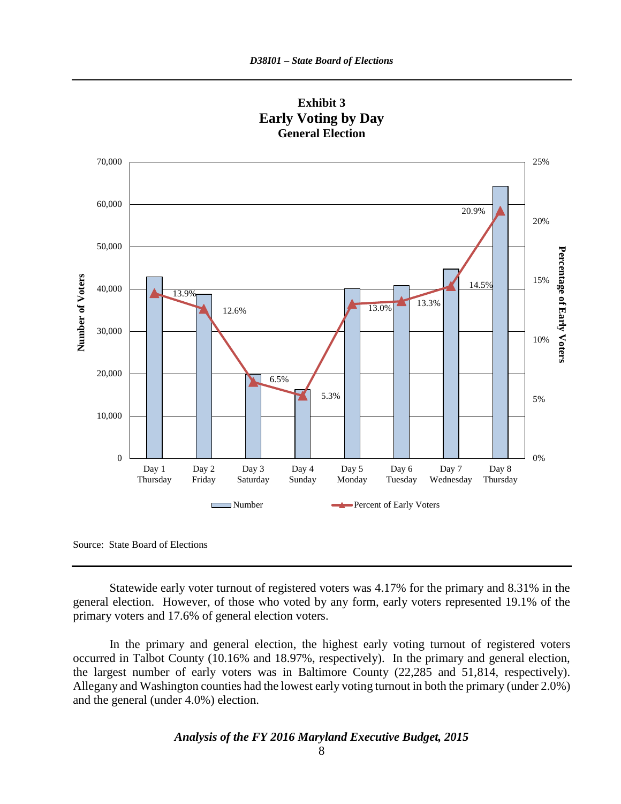

**Exhibit 3 Early Voting by Day General Election**

Source: State Board of Elections

Statewide early voter turnout of registered voters was 4.17% for the primary and 8.31% in the general election. However, of those who voted by any form, early voters represented 19.1% of the primary voters and 17.6% of general election voters.

In the primary and general election, the highest early voting turnout of registered voters occurred in Talbot County (10.16% and 18.97%, respectively). In the primary and general election, the largest number of early voters was in Baltimore County (22,285 and 51,814, respectively). Allegany and Washington counties had the lowest early voting turnout in both the primary (under 2.0%) and the general (under 4.0%) election.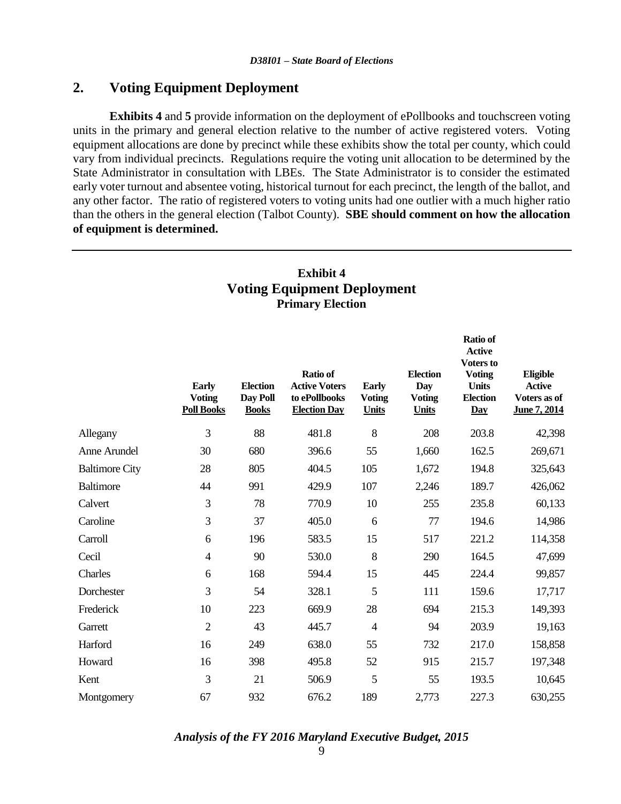### **2. Voting Equipment Deployment**

**Exhibits 4** and **5** provide information on the deployment of ePollbooks and touchscreen voting units in the primary and general election relative to the number of active registered voters. Voting equipment allocations are done by precinct while these exhibits show the total per county, which could vary from individual precincts. Regulations require the voting unit allocation to be determined by the State Administrator in consultation with LBEs. The State Administrator is to consider the estimated early voter turnout and absentee voting, historical turnout for each precinct, the length of the ballot, and any other factor. The ratio of registered voters to voting units had one outlier with a much higher ratio than the others in the general election (Talbot County). **SBE should comment on how the allocation of equipment is determined.**

### **Exhibit 4 Voting Equipment Deployment Primary Election**

|                       | <b>Early</b><br><b>Voting</b><br><b>Poll Books</b> | <b>Election</b><br>Day Poll<br><b>Books</b> | <b>Ratio of</b><br><b>Active Voters</b><br>to ePollbooks<br><b>Election Day</b> | <b>Early</b><br><b>Voting</b><br><b>Units</b> | <b>Election</b><br>Day<br><b>Voting</b><br><b>Units</b> | <b>Ratio of</b><br><b>Active</b><br>Voters to<br><b>Voting</b><br><b>Units</b><br><b>Election</b><br>Day | Eligible<br><b>Active</b><br>Voters as of<br>June 7, 2014 |
|-----------------------|----------------------------------------------------|---------------------------------------------|---------------------------------------------------------------------------------|-----------------------------------------------|---------------------------------------------------------|----------------------------------------------------------------------------------------------------------|-----------------------------------------------------------|
| Allegany              | 3                                                  | 88                                          | 481.8                                                                           | 8                                             | 208                                                     | 203.8                                                                                                    | 42,398                                                    |
| Anne Arundel          | 30                                                 | 680                                         | 396.6                                                                           | 55                                            | 1,660                                                   | 162.5                                                                                                    | 269,671                                                   |
| <b>Baltimore City</b> | 28                                                 | 805                                         | 404.5                                                                           | 105                                           | 1,672                                                   | 194.8                                                                                                    | 325,643                                                   |
| <b>Baltimore</b>      | 44                                                 | 991                                         | 429.9                                                                           | 107                                           | 2,246                                                   | 189.7                                                                                                    | 426,062                                                   |
| Calvert               | 3                                                  | 78                                          | 770.9                                                                           | 10                                            | 255                                                     | 235.8                                                                                                    | 60,133                                                    |
| Caroline              | 3                                                  | 37                                          | 405.0                                                                           | 6                                             | 77                                                      | 194.6                                                                                                    | 14,986                                                    |
| Carroll               | 6                                                  | 196                                         | 583.5                                                                           | 15                                            | 517                                                     | 221.2                                                                                                    | 114,358                                                   |
| Cecil                 | $\overline{4}$                                     | 90                                          | 530.0                                                                           | 8                                             | 290                                                     | 164.5                                                                                                    | 47,699                                                    |
| Charles               | 6                                                  | 168                                         | 594.4                                                                           | 15                                            | 445                                                     | 224.4                                                                                                    | 99,857                                                    |
| Dorchester            | 3                                                  | 54                                          | 328.1                                                                           | 5                                             | 111                                                     | 159.6                                                                                                    | 17,717                                                    |
| Frederick             | 10                                                 | 223                                         | 669.9                                                                           | 28                                            | 694                                                     | 215.3                                                                                                    | 149,393                                                   |
| Garrett               | $\overline{2}$                                     | 43                                          | 445.7                                                                           | $\overline{4}$                                | 94                                                      | 203.9                                                                                                    | 19,163                                                    |
| Harford               | 16                                                 | 249                                         | 638.0                                                                           | 55                                            | 732                                                     | 217.0                                                                                                    | 158,858                                                   |
| Howard                | 16                                                 | 398                                         | 495.8                                                                           | 52                                            | 915                                                     | 215.7                                                                                                    | 197,348                                                   |
| Kent                  | 3                                                  | 21                                          | 506.9                                                                           | 5                                             | 55                                                      | 193.5                                                                                                    | 10,645                                                    |
| Montgomery            | 67                                                 | 932                                         | 676.2                                                                           | 189                                           | 2,773                                                   | 227.3                                                                                                    | 630,255                                                   |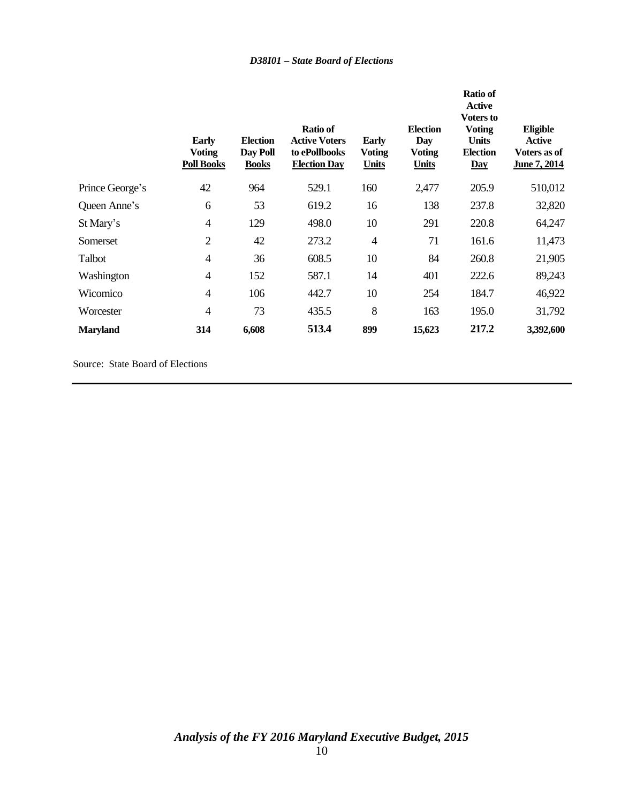|                 | Early<br><b>Voting</b><br><b>Poll Books</b> | <b>Election</b><br>Day Poll<br><b>Books</b> | <b>Ratio of</b><br><b>Active Voters</b><br>to ePollbooks<br><b>Election Day</b> | <b>Early</b><br><b>Voting</b><br><b>Units</b> | <b>Election</b><br>Day<br><b>Voting</b><br><b>Units</b> | <b>Ratio of</b><br><b>Active</b><br><b>Voters to</b><br><b>Voting</b><br><b>Units</b><br><b>Election</b><br>$\overline{Day}$ | Eligible<br>Active<br>Voters as of<br>June 7, 2014 |
|-----------------|---------------------------------------------|---------------------------------------------|---------------------------------------------------------------------------------|-----------------------------------------------|---------------------------------------------------------|------------------------------------------------------------------------------------------------------------------------------|----------------------------------------------------|
| Prince George's | 42                                          | 964                                         | 529.1                                                                           | 160                                           | 2,477                                                   | 205.9                                                                                                                        | 510,012                                            |
| Queen Anne's    | 6                                           | 53                                          | 619.2                                                                           | 16                                            | 138                                                     | 237.8                                                                                                                        | 32,820                                             |
| St Mary's       | $\overline{4}$                              | 129                                         | 498.0                                                                           | 10                                            | 291                                                     | 220.8                                                                                                                        | 64,247                                             |
| Somerset        | $\overline{2}$                              | 42                                          | 273.2                                                                           | $\overline{4}$                                | 71                                                      | 161.6                                                                                                                        | 11,473                                             |
| Talbot          | $\overline{4}$                              | 36                                          | 608.5                                                                           | 10                                            | 84                                                      | 260.8                                                                                                                        | 21,905                                             |
| Washington      | 4                                           | 152                                         | 587.1                                                                           | 14                                            | 401                                                     | 222.6                                                                                                                        | 89,243                                             |
| Wicomico        | $\overline{4}$                              | 106                                         | 442.7                                                                           | 10                                            | 254                                                     | 184.7                                                                                                                        | 46,922                                             |
| Worcester       | 4                                           | 73                                          | 435.5                                                                           | 8                                             | 163                                                     | 195.0                                                                                                                        | 31,792                                             |
| <b>Maryland</b> | 314                                         | 6,608                                       | 513.4                                                                           | 899                                           | 15,623                                                  | 217.2                                                                                                                        | 3,392,600                                          |

Source: State Board of Elections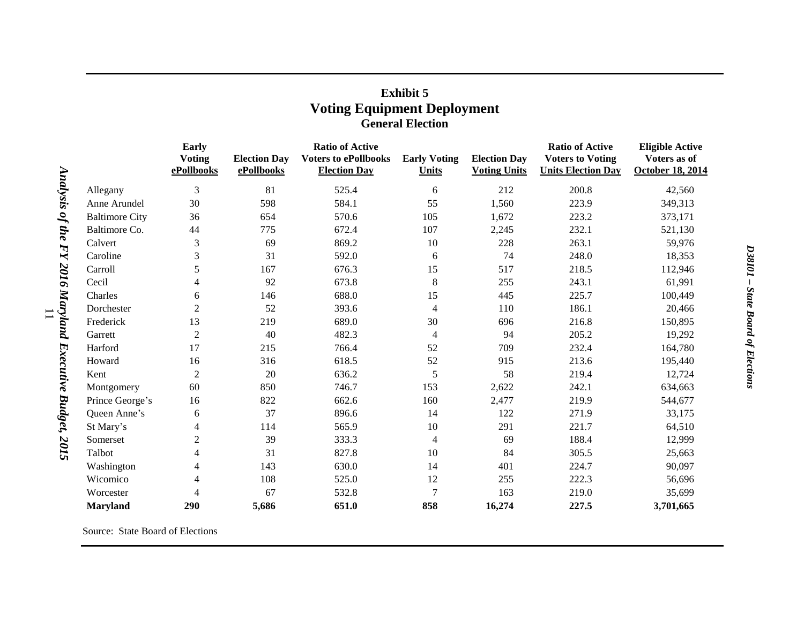|                             | <b>Early</b><br><b>Voting</b><br>ePollbooks | <b>Election Day</b><br>ePollbooks | <b>Ratio of Active</b><br><b>Voters to ePollbooks</b><br><b>Election Day</b> | <b>Early Voting</b><br>Units | <b>Election Day</b><br><b>Voting Units</b> | <b>Ratio of Active</b><br><b>Voters to Voting</b><br><b>Units Election Day</b> | <b>Eligible Active</b><br>Voters as of<br><b>October 18, 2014</b> |
|-----------------------------|---------------------------------------------|-----------------------------------|------------------------------------------------------------------------------|------------------------------|--------------------------------------------|--------------------------------------------------------------------------------|-------------------------------------------------------------------|
| Analysis of the<br>Allegany | 3                                           | 81                                | 525.4                                                                        | 6                            | 212                                        | 200.8                                                                          | 42,560                                                            |
| Anne Arundel                | 30                                          | 598                               | 584.1                                                                        | 55                           | 1,560                                      | 223.9                                                                          | 349,313                                                           |
| <b>Baltimore City</b>       | 36                                          | 654                               | 570.6                                                                        | 105                          | 1,672                                      | 223.2                                                                          | 373,171                                                           |
| Baltimore Co.               | 44                                          | 775                               | 672.4                                                                        | 107                          | 2,245                                      | 232.1                                                                          | 521,130                                                           |
| Calvert                     | 3                                           | 69                                | 869.2                                                                        | 10                           | 228                                        | 263.1                                                                          | 59,976                                                            |
| HY<br>Caroline              | 3                                           | 31                                | 592.0                                                                        | 6                            | 74                                         | 248.0                                                                          | 18,353                                                            |
| Carroll                     | 5                                           | 167                               | 676.3                                                                        | 15                           | 517                                        | 218.5                                                                          | 112,946                                                           |
| Cecil                       | 4                                           | 92                                | 673.8                                                                        | $\,8$                        | 255                                        | 243.1                                                                          | 61,991                                                            |
| Charles                     | 6                                           | 146                               | 688.0                                                                        | 15                           | 445                                        | 225.7                                                                          | 100,449                                                           |
| Dorchester                  | $\overline{2}$                              | 52                                | 393.6                                                                        | $\overline{4}$               | 110                                        | 186.1                                                                          | 20,466                                                            |
| Frederick                   | 13                                          | 219                               | 689.0                                                                        | 30                           | 696                                        | 216.8                                                                          | 150,895                                                           |
| Garrett                     | $\boldsymbol{2}$                            | 40                                | 482.3                                                                        | 4                            | 94                                         | 205.2                                                                          | 19,292                                                            |
| Harford                     | 17                                          | 215                               | 766.4                                                                        | 52                           | 709                                        | 232.4                                                                          | 164,780                                                           |
| Howard                      | 16                                          | 316                               | 618.5                                                                        | 52                           | 915                                        | 213.6                                                                          | 195,440                                                           |
| Kent                        | $\mathfrak{2}$                              | 20                                | 636.2                                                                        | 5                            | 58                                         | 219.4                                                                          | 12,724                                                            |
| Montgomery                  | 60                                          | 850                               | 746.7                                                                        | 153                          | 2,622                                      | 242.1                                                                          | 634,663                                                           |
| Prince George's             | 16                                          | 822                               | 662.6                                                                        | 160                          | 2,477                                      | 219.9                                                                          | 544,677                                                           |
| Queen Anne's                | 6                                           | 37                                | 896.6                                                                        | 14                           | 122                                        | 271.9                                                                          | 33,175                                                            |
| St Mary's                   | 4                                           | 114                               | 565.9                                                                        | 10                           | 291                                        | 221.7                                                                          | 64,510                                                            |
| Somerset                    | $\overline{2}$                              | 39                                | 333.3                                                                        | $\overline{4}$               | 69                                         | 188.4                                                                          | 12,999                                                            |
| Talbot                      | 4                                           | 31                                | 827.8                                                                        | 10                           | 84                                         | 305.5                                                                          | 25,663                                                            |
| Washington                  | 4                                           | 143                               | 630.0                                                                        | 14                           | 401                                        | 224.7                                                                          | 90,097                                                            |
| Wicomico                    | 4                                           | 108                               | 525.0                                                                        | 12                           | 255                                        | 222.3                                                                          | 56,696                                                            |
| Worcester                   | 4                                           | 67                                | 532.8                                                                        | $\overline{7}$               | 163                                        | 219.0                                                                          | 35,699                                                            |
| <b>Maryland</b>             | 290                                         | 5,686                             | 651.0                                                                        | 858                          | 16,274                                     | 227.5                                                                          | 3,701,665                                                         |

# **Exhibit 5 Voting Equipment Deployment General Election**

Source: State Board of Elections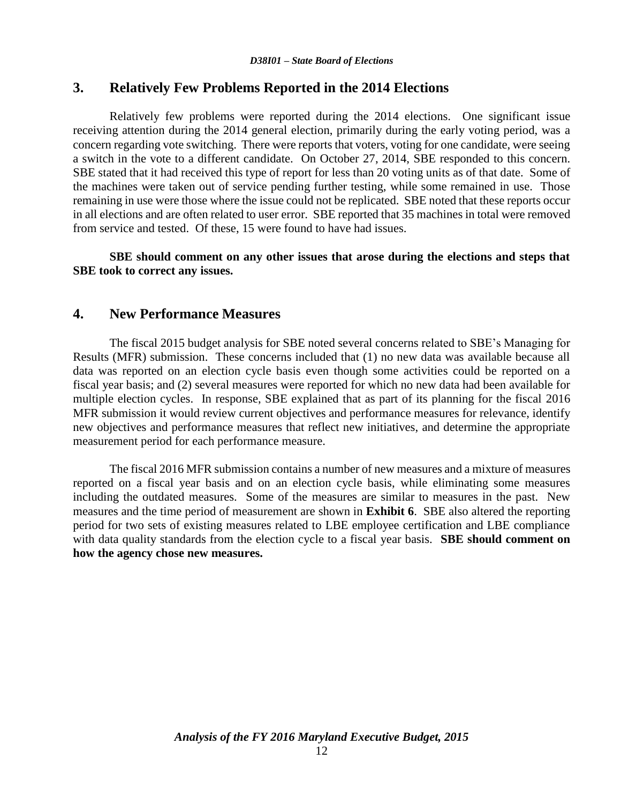## **3. Relatively Few Problems Reported in the 2014 Elections**

Relatively few problems were reported during the 2014 elections. One significant issue receiving attention during the 2014 general election, primarily during the early voting period, was a concern regarding vote switching. There were reports that voters, voting for one candidate, were seeing a switch in the vote to a different candidate. On October 27, 2014, SBE responded to this concern. SBE stated that it had received this type of report for less than 20 voting units as of that date. Some of the machines were taken out of service pending further testing, while some remained in use. Those remaining in use were those where the issue could not be replicated. SBE noted that these reports occur in all elections and are often related to user error. SBE reported that 35 machines in total were removed from service and tested. Of these, 15 were found to have had issues.

**SBE should comment on any other issues that arose during the elections and steps that SBE took to correct any issues.**

### **4. New Performance Measures**

The fiscal 2015 budget analysis for SBE noted several concerns related to SBE's Managing for Results (MFR) submission. These concerns included that (1) no new data was available because all data was reported on an election cycle basis even though some activities could be reported on a fiscal year basis; and (2) several measures were reported for which no new data had been available for multiple election cycles. In response, SBE explained that as part of its planning for the fiscal 2016 MFR submission it would review current objectives and performance measures for relevance, identify new objectives and performance measures that reflect new initiatives, and determine the appropriate measurement period for each performance measure.

The fiscal 2016 MFR submission contains a number of new measures and a mixture of measures reported on a fiscal year basis and on an election cycle basis, while eliminating some measures including the outdated measures. Some of the measures are similar to measures in the past. New measures and the time period of measurement are shown in **Exhibit 6**. SBE also altered the reporting period for two sets of existing measures related to LBE employee certification and LBE compliance with data quality standards from the election cycle to a fiscal year basis. **SBE should comment on how the agency chose new measures.**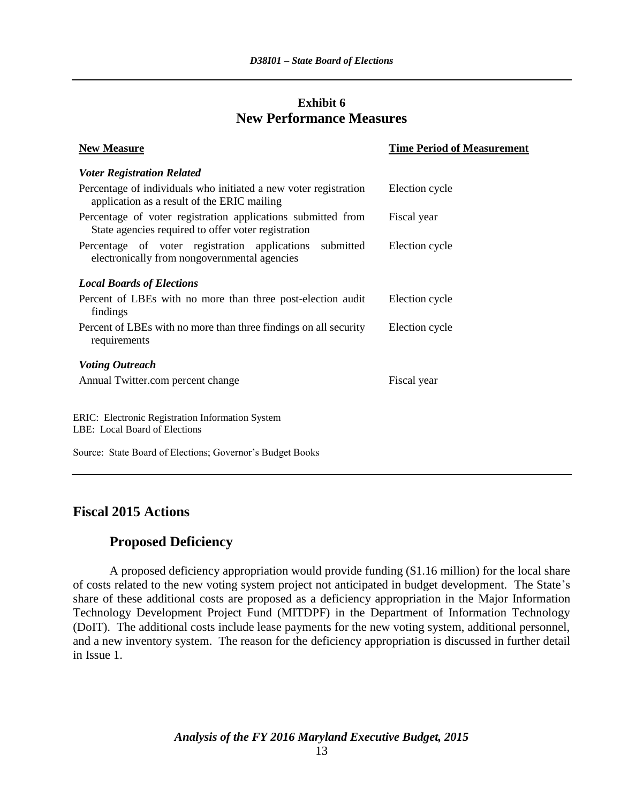### **Exhibit 6 New Performance Measures**

| <b>New Measure</b>                                                                                                  | <b>Time Period of Measurement</b> |
|---------------------------------------------------------------------------------------------------------------------|-----------------------------------|
| <b>Voter Registration Related</b>                                                                                   |                                   |
| Percentage of individuals who initiated a new voter registration<br>application as a result of the ERIC mailing     | Election cycle                    |
| Percentage of voter registration applications submitted from<br>State agencies required to offer voter registration | Fiscal year                       |
| Percentage of voter registration applications<br>submitted<br>electronically from nongovernmental agencies          | Election cycle                    |
| <b>Local Boards of Elections</b>                                                                                    |                                   |
| Percent of LBEs with no more than three post-election audit<br>findings                                             | Election cycle                    |
| Percent of LBEs with no more than three findings on all security<br>requirements                                    | Election cycle                    |
| <b>Voting Outreach</b>                                                                                              |                                   |
| Annual Twitter.com percent change                                                                                   | Fiscal year                       |
| ERIC: Electronic Registration Information System<br>LBE: Local Board of Elections                                   |                                   |
| Source: State Board of Elections; Governor's Budget Books                                                           |                                   |

# **Fiscal 2015 Actions**

# **Proposed Deficiency**

A proposed deficiency appropriation would provide funding (\$1.16 million) for the local share of costs related to the new voting system project not anticipated in budget development. The State's share of these additional costs are proposed as a deficiency appropriation in the Major Information Technology Development Project Fund (MITDPF) in the Department of Information Technology (DoIT). The additional costs include lease payments for the new voting system, additional personnel, and a new inventory system. The reason for the deficiency appropriation is discussed in further detail in Issue 1.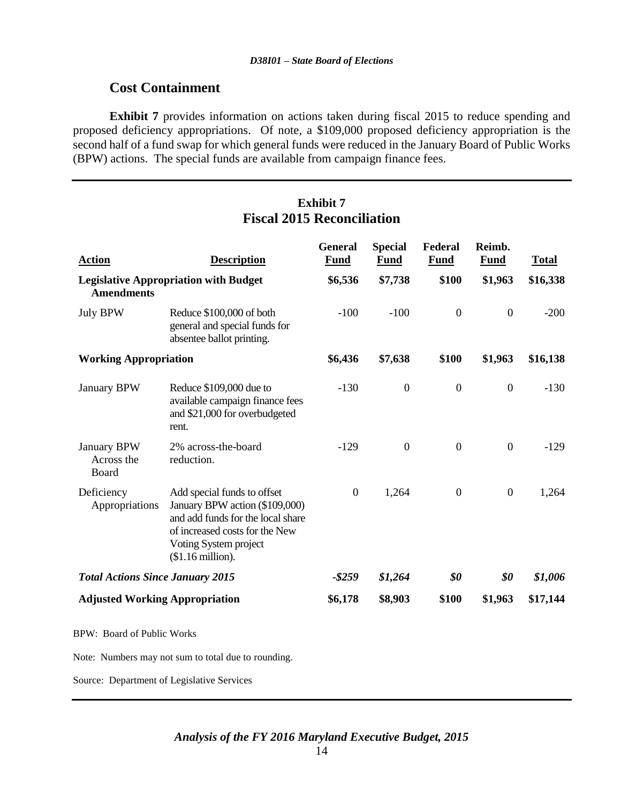### **Cost Containment**

**Exhibit 7** provides information on actions taken during fiscal 2015 to reduce spending and proposed deficiency appropriations. Of note, a \$109,000 proposed deficiency appropriation is the second half of a fund swap for which general funds were reduced in the January Board of Public Works (BPW) actions. The special funds are available from campaign finance fees.

# **Exhibit 7 Fiscal 2015 Reconciliation**

| <b>Action</b>                                                     | <b>Description</b>                                                                                                                                                                 | <b>General</b><br><b>Fund</b> | <b>Special</b><br><b>Fund</b> | Federal<br><b>Fund</b> | Reimb.<br><b>Fund</b> | <b>Total</b> |
|-------------------------------------------------------------------|------------------------------------------------------------------------------------------------------------------------------------------------------------------------------------|-------------------------------|-------------------------------|------------------------|-----------------------|--------------|
| <b>Legislative Appropriation with Budget</b><br><b>Amendments</b> |                                                                                                                                                                                    | \$6,536                       | \$7,738                       | \$100                  | \$1,963               | \$16,338     |
| <b>July BPW</b>                                                   | Reduce \$100,000 of both<br>general and special funds for<br>absentee ballot printing.                                                                                             | $-100$                        | $-100$                        | $\mathbf{0}$           | $\boldsymbol{0}$      | $-200$       |
| <b>Working Appropriation</b>                                      |                                                                                                                                                                                    | \$6,436                       | \$7,638                       | \$100                  | \$1,963               | \$16,138     |
| <b>January BPW</b>                                                | Reduce \$109,000 due to<br>available campaign finance fees<br>and \$21,000 for overbudgeted<br>rent.                                                                               | $-130$                        | $\boldsymbol{0}$              | $\boldsymbol{0}$       | $\boldsymbol{0}$      | $-130$       |
| January BPW<br>Across the<br>Board                                | 2% across-the-board<br>reduction.                                                                                                                                                  | $-129$                        | $\boldsymbol{0}$              | $\mathbf{0}$           | $\boldsymbol{0}$      | $-129$       |
| Deficiency<br>Appropriations                                      | Add special funds to offset<br>January BPW action (\$109,000)<br>and add funds for the local share<br>of increased costs for the New<br>Voting System project<br>$$1.16$ million). | $\boldsymbol{0}$              | 1,264                         | $\boldsymbol{0}$       | $\boldsymbol{0}$      | 1,264        |
| <b>Total Actions Since January 2015</b>                           |                                                                                                                                                                                    | $-$ \$259                     | \$1,264                       | \$0                    | \$0                   | \$1,006      |
| <b>Adjusted Working Appropriation</b>                             |                                                                                                                                                                                    | \$6,178                       | \$8,903                       | \$100                  | \$1,963               | \$17,144     |
| <b>BPW: Board of Public Works</b>                                 |                                                                                                                                                                                    |                               |                               |                        |                       |              |
|                                                                   | Note: Numbers may not sum to total due to rounding.                                                                                                                                |                               |                               |                        |                       |              |

Source: Department of Legislative Services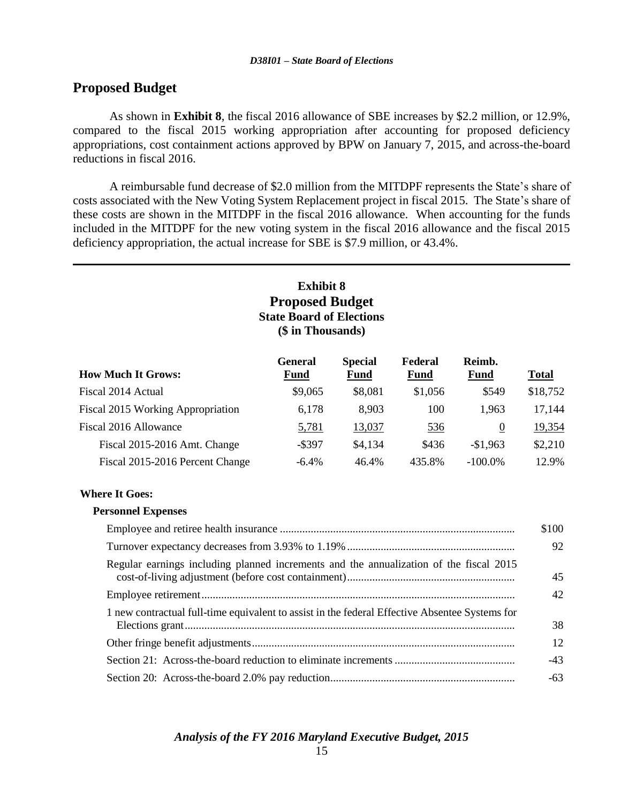### **Proposed Budget**

As shown in **Exhibit 8**, the fiscal 2016 allowance of SBE increases by \$2.2 million, or 12.9%, compared to the fiscal 2015 working appropriation after accounting for proposed deficiency appropriations, cost containment actions approved by BPW on January 7, 2015, and across-the-board reductions in fiscal 2016.

A reimbursable fund decrease of \$2.0 million from the MITDPF represents the State's share of costs associated with the New Voting System Replacement project in fiscal 2015. The State's share of these costs are shown in the MITDPF in the fiscal 2016 allowance. When accounting for the funds included in the MITDPF for the new voting system in the fiscal 2016 allowance and the fiscal 2015 deficiency appropriation, the actual increase for SBE is \$7.9 million, or 43.4%.

#### **Exhibit 8 Proposed Budget State Board of Elections (\$ in Thousands) How Much It Grows: General Fund Special Fund Federal Fund Reimb. Fund Total** Fiscal 2014 Actual **\$9,065** \$8,081 \$1,056 \$549 \$18,752 Fiscal 2015 Working Appropriation 6,178 8,903 100 1,963 17,144 Fiscal 2016 Allowance  $\frac{5,781}{13,037}$   $\frac{13,037}{536}$  0  $\frac{19,354}{536}$ Fiscal 2015-2016 Amt. Change  $-$ \$397 \$4,134 \$436 -\$1,963 \$2,210 Fiscal 2015-2016 Percent Change  $-6.4\%$   $-46.4\%$   $-435.8\%$   $-100.0\%$   $12.9\%$

#### **Where It Goes:**

#### **Personnel Expenses**

|                                                                                                | \$100 |
|------------------------------------------------------------------------------------------------|-------|
|                                                                                                | 92    |
| Regular earnings including planned increments and the annualization of the fiscal 2015         | 45    |
|                                                                                                | 42    |
| 1 new contractual full-time equivalent to assist in the federal Effective Absentee Systems for | 38    |
|                                                                                                | 12    |
|                                                                                                | $-43$ |
|                                                                                                | -63   |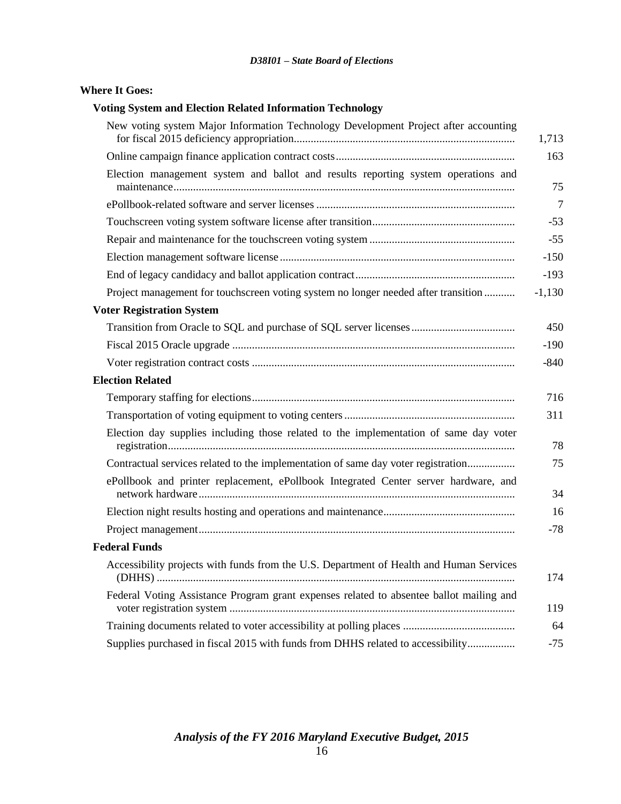#### **Where It Goes:**

#### **Voting System and Election Related Information Technology**

| New voting system Major Information Technology Development Project after accounting     | 1,713    |
|-----------------------------------------------------------------------------------------|----------|
|                                                                                         | 163      |
| Election management system and ballot and results reporting system operations and       | 75       |
|                                                                                         |          |
|                                                                                         | $-53$    |
|                                                                                         | $-55$    |
|                                                                                         | $-150$   |
|                                                                                         | $-193$   |
| Project management for touchscreen voting system no longer needed after transition      | $-1,130$ |
| <b>Voter Registration System</b>                                                        |          |
|                                                                                         | 450      |
|                                                                                         | -190     |
|                                                                                         | $-840$   |
| <b>Election Related</b>                                                                 |          |
|                                                                                         | 716      |
|                                                                                         | 311      |
| Election day supplies including those related to the implementation of same day voter   | 78       |
| Contractual services related to the implementation of same day voter registration       |          |
| ePollbook and printer replacement, ePollbook Integrated Center server hardware, and     | 34       |
|                                                                                         |          |
|                                                                                         | $-78$    |
| <b>Federal Funds</b>                                                                    |          |
| Accessibility projects with funds from the U.S. Department of Health and Human Services | 174      |
| Federal Voting Assistance Program grant expenses related to absentee ballot mailing and | 119      |
|                                                                                         | 64       |
| Supplies purchased in fiscal 2015 with funds from DHHS related to accessibility         | $-75$    |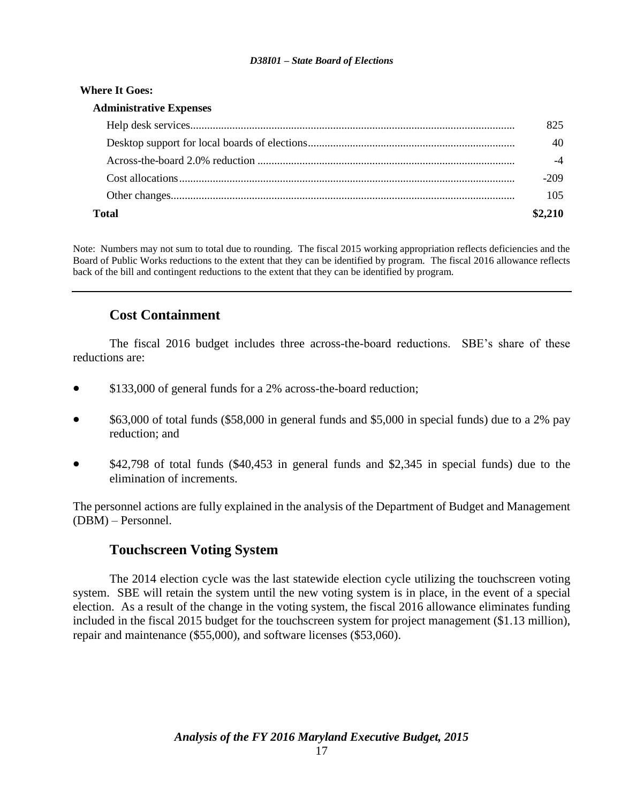#### **Where It Goes:**

| <b>Administrative Expenses</b> |        |
|--------------------------------|--------|
|                                |        |
|                                |        |
|                                |        |
|                                | $-209$ |
|                                | 105    |
|                                |        |

Note: Numbers may not sum to total due to rounding. The fiscal 2015 working appropriation reflects deficiencies and the Board of Public Works reductions to the extent that they can be identified by program. The fiscal 2016 allowance reflects back of the bill and contingent reductions to the extent that they can be identified by program.

# **Cost Containment**

The fiscal 2016 budget includes three across-the-board reductions. SBE's share of these reductions are:

- \$133,000 of general funds for a 2% across-the-board reduction;
- \$63,000 of total funds (\$58,000 in general funds and \$5,000 in special funds) due to a 2% pay reduction; and
- \$42,798 of total funds (\$40,453 in general funds and \$2,345 in special funds) due to the elimination of increments.

The personnel actions are fully explained in the analysis of the Department of Budget and Management (DBM) – Personnel.

## **Touchscreen Voting System**

The 2014 election cycle was the last statewide election cycle utilizing the touchscreen voting system. SBE will retain the system until the new voting system is in place, in the event of a special election. As a result of the change in the voting system, the fiscal 2016 allowance eliminates funding included in the fiscal 2015 budget for the touchscreen system for project management (\$1.13 million), repair and maintenance (\$55,000), and software licenses (\$53,060).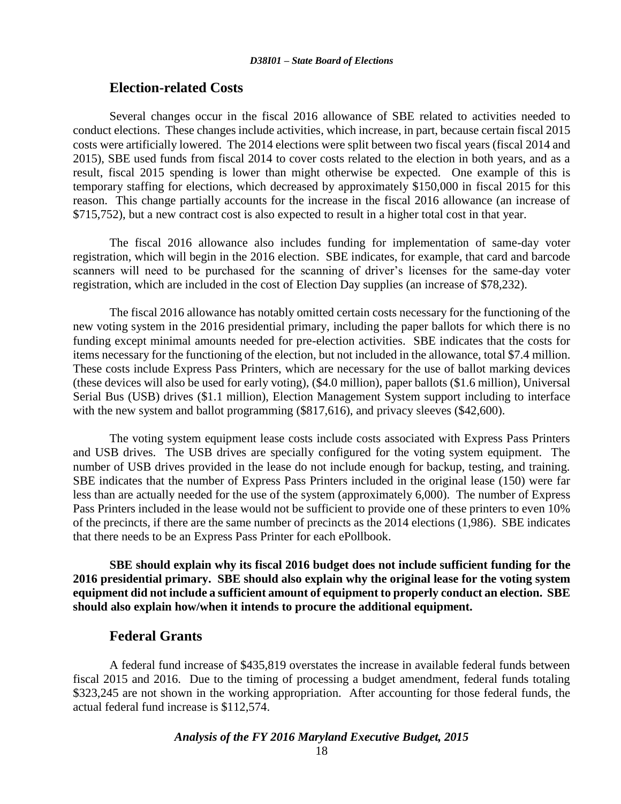#### **Election-related Costs**

Several changes occur in the fiscal 2016 allowance of SBE related to activities needed to conduct elections. These changes include activities, which increase, in part, because certain fiscal 2015 costs were artificially lowered. The 2014 elections were split between two fiscal years (fiscal 2014 and 2015), SBE used funds from fiscal 2014 to cover costs related to the election in both years, and as a result, fiscal 2015 spending is lower than might otherwise be expected. One example of this is temporary staffing for elections, which decreased by approximately \$150,000 in fiscal 2015 for this reason. This change partially accounts for the increase in the fiscal 2016 allowance (an increase of \$715,752), but a new contract cost is also expected to result in a higher total cost in that year.

The fiscal 2016 allowance also includes funding for implementation of same-day voter registration, which will begin in the 2016 election. SBE indicates, for example, that card and barcode scanners will need to be purchased for the scanning of driver's licenses for the same-day voter registration, which are included in the cost of Election Day supplies (an increase of \$78,232).

The fiscal 2016 allowance has notably omitted certain costs necessary for the functioning of the new voting system in the 2016 presidential primary, including the paper ballots for which there is no funding except minimal amounts needed for pre-election activities. SBE indicates that the costs for items necessary for the functioning of the election, but not included in the allowance, total \$7.4 million. These costs include Express Pass Printers, which are necessary for the use of ballot marking devices (these devices will also be used for early voting), (\$4.0 million), paper ballots (\$1.6 million), Universal Serial Bus (USB) drives (\$1.1 million), Election Management System support including to interface with the new system and ballot programming (\$817,616), and privacy sleeves (\$42,600).

The voting system equipment lease costs include costs associated with Express Pass Printers and USB drives. The USB drives are specially configured for the voting system equipment. The number of USB drives provided in the lease do not include enough for backup, testing, and training. SBE indicates that the number of Express Pass Printers included in the original lease (150) were far less than are actually needed for the use of the system (approximately 6,000). The number of Express Pass Printers included in the lease would not be sufficient to provide one of these printers to even 10% of the precincts, if there are the same number of precincts as the 2014 elections (1,986). SBE indicates that there needs to be an Express Pass Printer for each ePollbook.

**SBE should explain why its fiscal 2016 budget does not include sufficient funding for the 2016 presidential primary. SBE should also explain why the original lease for the voting system equipment did not include a sufficient amount of equipment to properly conduct an election. SBE should also explain how/when it intends to procure the additional equipment.**

### **Federal Grants**

A federal fund increase of \$435,819 overstates the increase in available federal funds between fiscal 2015 and 2016. Due to the timing of processing a budget amendment, federal funds totaling \$323,245 are not shown in the working appropriation. After accounting for those federal funds, the actual federal fund increase is \$112,574.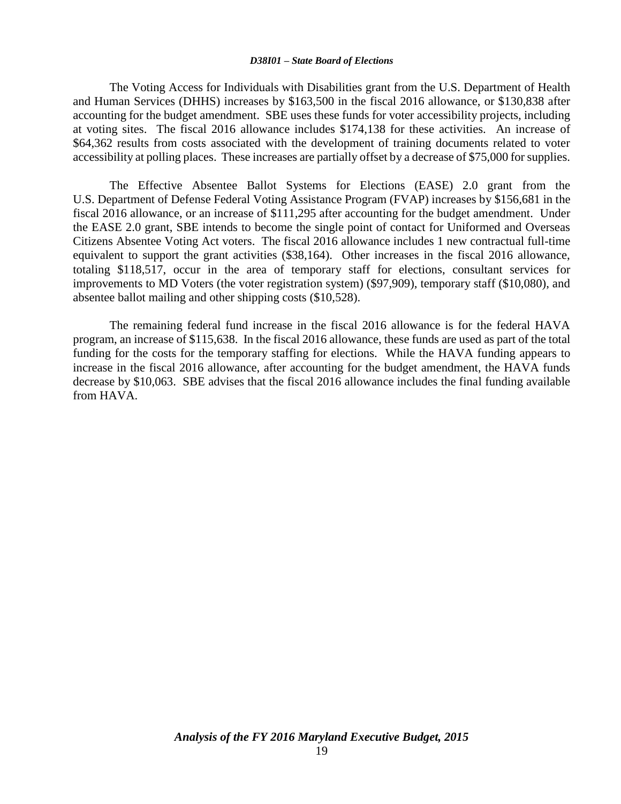The Voting Access for Individuals with Disabilities grant from the U.S. Department of Health and Human Services (DHHS) increases by \$163,500 in the fiscal 2016 allowance, or \$130,838 after accounting for the budget amendment. SBE uses these funds for voter accessibility projects, including at voting sites. The fiscal 2016 allowance includes \$174,138 for these activities. An increase of \$64,362 results from costs associated with the development of training documents related to voter accessibility at polling places. These increases are partially offset by a decrease of \$75,000 for supplies.

The Effective Absentee Ballot Systems for Elections (EASE) 2.0 grant from the U.S. Department of Defense Federal Voting Assistance Program (FVAP) increases by \$156,681 in the fiscal 2016 allowance, or an increase of \$111,295 after accounting for the budget amendment. Under the EASE 2.0 grant, SBE intends to become the single point of contact for Uniformed and Overseas Citizens Absentee Voting Act voters. The fiscal 2016 allowance includes 1 new contractual full-time equivalent to support the grant activities (\$38,164). Other increases in the fiscal 2016 allowance, totaling \$118,517, occur in the area of temporary staff for elections, consultant services for improvements to MD Voters (the voter registration system) (\$97,909), temporary staff (\$10,080), and absentee ballot mailing and other shipping costs (\$10,528).

The remaining federal fund increase in the fiscal 2016 allowance is for the federal HAVA program, an increase of \$115,638. In the fiscal 2016 allowance, these funds are used as part of the total funding for the costs for the temporary staffing for elections. While the HAVA funding appears to increase in the fiscal 2016 allowance, after accounting for the budget amendment, the HAVA funds decrease by \$10,063. SBE advises that the fiscal 2016 allowance includes the final funding available from HAVA.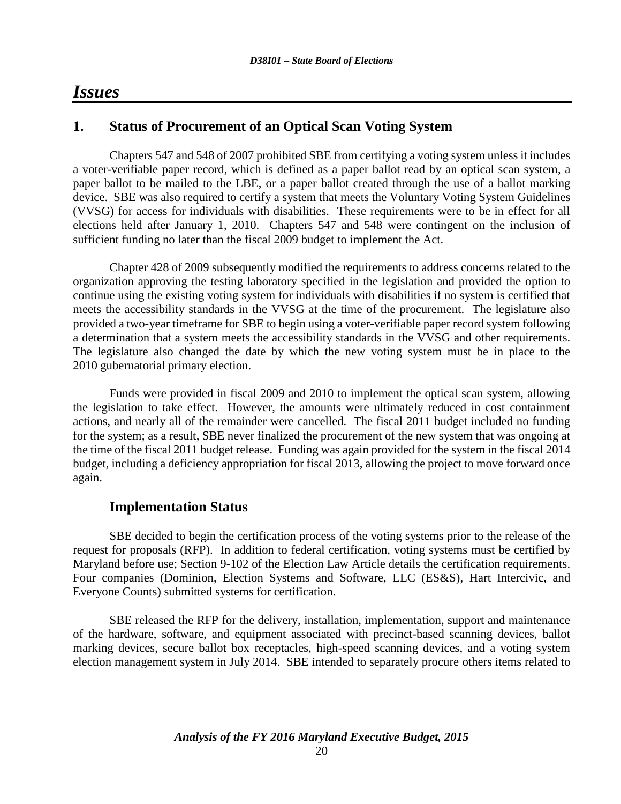# *Issues*

# **1. Status of Procurement of an Optical Scan Voting System**

Chapters 547 and 548 of 2007 prohibited SBE from certifying a voting system unless it includes a voter-verifiable paper record, which is defined as a paper ballot read by an optical scan system, a paper ballot to be mailed to the LBE, or a paper ballot created through the use of a ballot marking device. SBE was also required to certify a system that meets the Voluntary Voting System Guidelines (VVSG) for access for individuals with disabilities. These requirements were to be in effect for all elections held after January 1, 2010. Chapters 547 and 548 were contingent on the inclusion of sufficient funding no later than the fiscal 2009 budget to implement the Act.

Chapter 428 of 2009 subsequently modified the requirements to address concerns related to the organization approving the testing laboratory specified in the legislation and provided the option to continue using the existing voting system for individuals with disabilities if no system is certified that meets the accessibility standards in the VVSG at the time of the procurement. The legislature also provided a two-year timeframe for SBE to begin using a voter-verifiable paper record system following a determination that a system meets the accessibility standards in the VVSG and other requirements. The legislature also changed the date by which the new voting system must be in place to the 2010 gubernatorial primary election.

Funds were provided in fiscal 2009 and 2010 to implement the optical scan system, allowing the legislation to take effect. However, the amounts were ultimately reduced in cost containment actions, and nearly all of the remainder were cancelled. The fiscal 2011 budget included no funding for the system; as a result, SBE never finalized the procurement of the new system that was ongoing at the time of the fiscal 2011 budget release. Funding was again provided for the system in the fiscal 2014 budget, including a deficiency appropriation for fiscal 2013, allowing the project to move forward once again.

## **Implementation Status**

SBE decided to begin the certification process of the voting systems prior to the release of the request for proposals (RFP). In addition to federal certification, voting systems must be certified by Maryland before use; Section 9-102 of the Election Law Article details the certification requirements. Four companies (Dominion, Election Systems and Software, LLC (ES&S), Hart Intercivic, and Everyone Counts) submitted systems for certification.

SBE released the RFP for the delivery, installation, implementation, support and maintenance of the hardware, software, and equipment associated with precinct-based scanning devices, ballot marking devices, secure ballot box receptacles, high-speed scanning devices, and a voting system election management system in July 2014. SBE intended to separately procure others items related to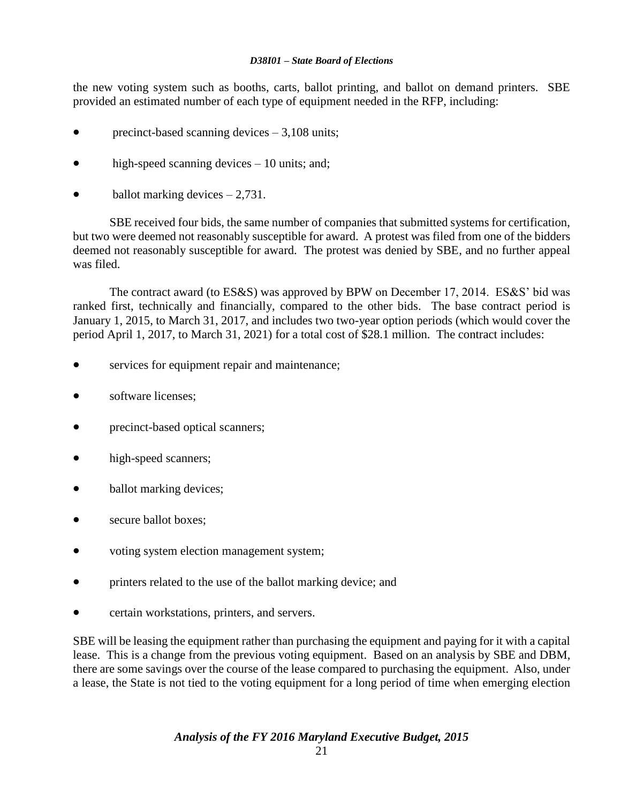the new voting system such as booths, carts, ballot printing, and ballot on demand printers. SBE provided an estimated number of each type of equipment needed in the RFP, including:

- precinct-based scanning devices 3,108 units;
- high-speed scanning devices 10 units; and;
- ballot marking devices 2,731.

SBE received four bids, the same number of companies that submitted systems for certification, but two were deemed not reasonably susceptible for award. A protest was filed from one of the bidders deemed not reasonably susceptible for award. The protest was denied by SBE, and no further appeal was filed.

The contract award (to ES&S) was approved by BPW on December 17, 2014. ES&S' bid was ranked first, technically and financially, compared to the other bids. The base contract period is January 1, 2015, to March 31, 2017, and includes two two-year option periods (which would cover the period April 1, 2017, to March 31, 2021) for a total cost of \$28.1 million. The contract includes:

- services for equipment repair and maintenance;
- software licenses;
- precinct-based optical scanners;
- high-speed scanners;
- ballot marking devices;
- secure ballot boxes;
- voting system election management system;
- printers related to the use of the ballot marking device; and
- certain workstations, printers, and servers.

SBE will be leasing the equipment rather than purchasing the equipment and paying for it with a capital lease. This is a change from the previous voting equipment. Based on an analysis by SBE and DBM, there are some savings over the course of the lease compared to purchasing the equipment. Also, under a lease, the State is not tied to the voting equipment for a long period of time when emerging election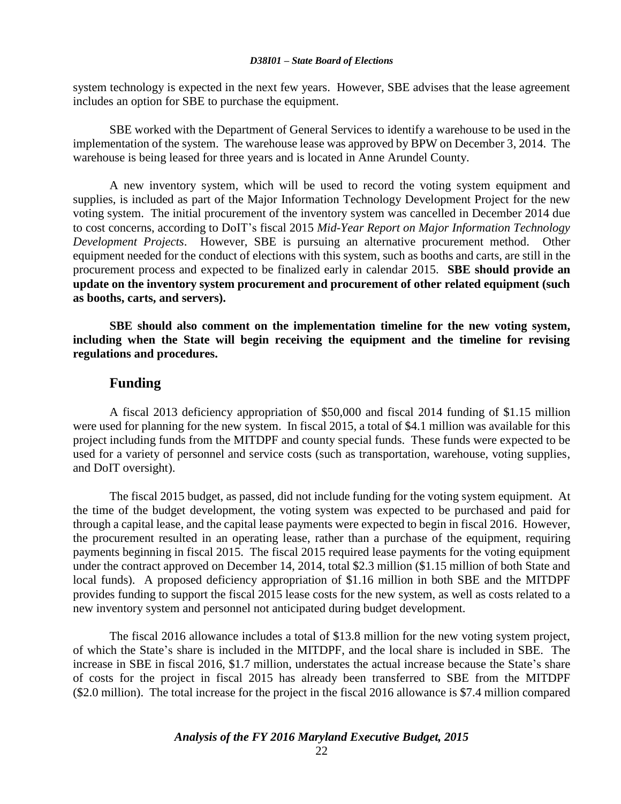system technology is expected in the next few years. However, SBE advises that the lease agreement includes an option for SBE to purchase the equipment.

SBE worked with the Department of General Services to identify a warehouse to be used in the implementation of the system. The warehouse lease was approved by BPW on December 3, 2014. The warehouse is being leased for three years and is located in Anne Arundel County.

A new inventory system, which will be used to record the voting system equipment and supplies, is included as part of the Major Information Technology Development Project for the new voting system. The initial procurement of the inventory system was cancelled in December 2014 due to cost concerns, according to DoIT's fiscal 2015 *Mid-Year Report on Major Information Technology Development Projects*. However, SBE is pursuing an alternative procurement method. Other equipment needed for the conduct of elections with this system, such as booths and carts, are still in the procurement process and expected to be finalized early in calendar 2015. **SBE should provide an update on the inventory system procurement and procurement of other related equipment (such as booths, carts, and servers).**

**SBE should also comment on the implementation timeline for the new voting system, including when the State will begin receiving the equipment and the timeline for revising regulations and procedures.**

### **Funding**

A fiscal 2013 deficiency appropriation of \$50,000 and fiscal 2014 funding of \$1.15 million were used for planning for the new system. In fiscal 2015, a total of \$4.1 million was available for this project including funds from the MITDPF and county special funds. These funds were expected to be used for a variety of personnel and service costs (such as transportation, warehouse, voting supplies, and DoIT oversight).

The fiscal 2015 budget, as passed, did not include funding for the voting system equipment. At the time of the budget development, the voting system was expected to be purchased and paid for through a capital lease, and the capital lease payments were expected to begin in fiscal 2016. However, the procurement resulted in an operating lease, rather than a purchase of the equipment, requiring payments beginning in fiscal 2015. The fiscal 2015 required lease payments for the voting equipment under the contract approved on December 14, 2014, total \$2.3 million (\$1.15 million of both State and local funds). A proposed deficiency appropriation of \$1.16 million in both SBE and the MITDPF provides funding to support the fiscal 2015 lease costs for the new system, as well as costs related to a new inventory system and personnel not anticipated during budget development.

The fiscal 2016 allowance includes a total of \$13.8 million for the new voting system project, of which the State's share is included in the MITDPF, and the local share is included in SBE. The increase in SBE in fiscal 2016, \$1.7 million, understates the actual increase because the State's share of costs for the project in fiscal 2015 has already been transferred to SBE from the MITDPF (\$2.0 million). The total increase for the project in the fiscal 2016 allowance is \$7.4 million compared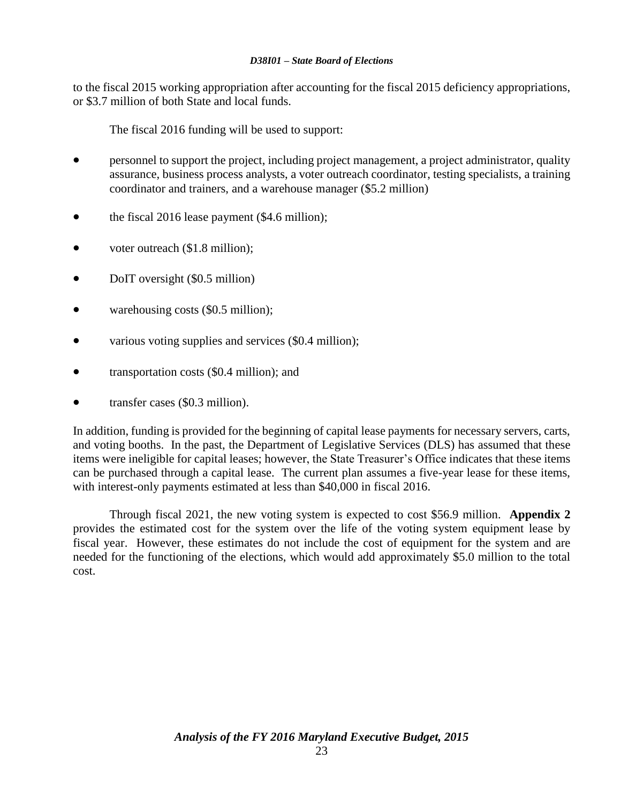to the fiscal 2015 working appropriation after accounting for the fiscal 2015 deficiency appropriations, or \$3.7 million of both State and local funds.

The fiscal 2016 funding will be used to support:

- personnel to support the project, including project management, a project administrator, quality assurance, business process analysts, a voter outreach coordinator, testing specialists, a training coordinator and trainers, and a warehouse manager (\$5.2 million)
- the fiscal 2016 lease payment (\$4.6 million);
- voter outreach (\$1.8 million);
- DoIT oversight (\$0.5 million)
- warehousing costs (\$0.5 million);
- various voting supplies and services (\$0.4 million);
- transportation costs (\$0.4 million); and
- transfer cases (\$0.3 million).

In addition, funding is provided for the beginning of capital lease payments for necessary servers, carts, and voting booths. In the past, the Department of Legislative Services (DLS) has assumed that these items were ineligible for capital leases; however, the State Treasurer's Office indicates that these items can be purchased through a capital lease. The current plan assumes a five-year lease for these items, with interest-only payments estimated at less than \$40,000 in fiscal 2016.

Through fiscal 2021, the new voting system is expected to cost \$56.9 million. **Appendix 2** provides the estimated cost for the system over the life of the voting system equipment lease by fiscal year. However, these estimates do not include the cost of equipment for the system and are needed for the functioning of the elections, which would add approximately \$5.0 million to the total cost.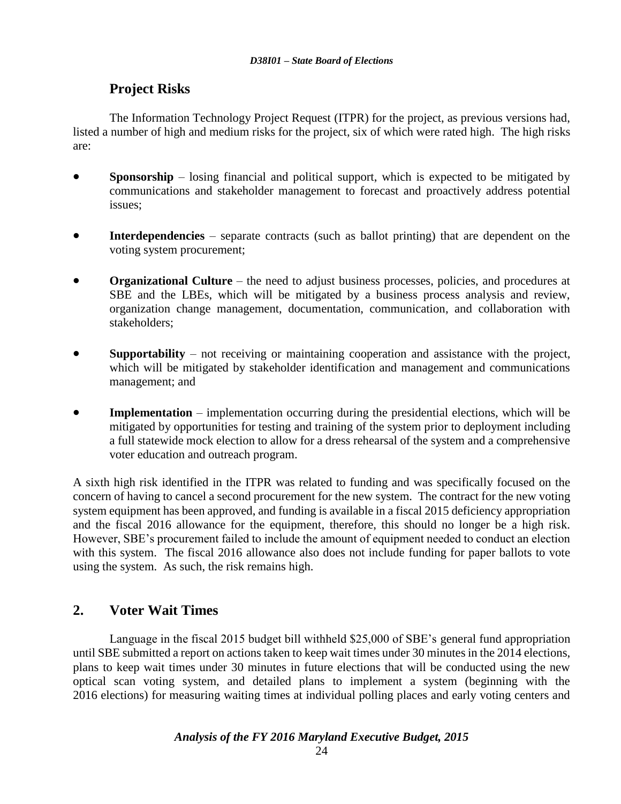# **Project Risks**

The Information Technology Project Request (ITPR) for the project, as previous versions had, listed a number of high and medium risks for the project, six of which were rated high. The high risks are:

- **Sponsorship** losing financial and political support, which is expected to be mitigated by communications and stakeholder management to forecast and proactively address potential issues;
- **Interdependencies** separate contracts (such as ballot printing) that are dependent on the voting system procurement;
- **Organizational Culture** the need to adjust business processes, policies, and procedures at SBE and the LBEs, which will be mitigated by a business process analysis and review, organization change management, documentation, communication, and collaboration with stakeholders;
- **Supportability** not receiving or maintaining cooperation and assistance with the project, which will be mitigated by stakeholder identification and management and communications management; and
- **Implementation** implementation occurring during the presidential elections, which will be mitigated by opportunities for testing and training of the system prior to deployment including a full statewide mock election to allow for a dress rehearsal of the system and a comprehensive voter education and outreach program.

A sixth high risk identified in the ITPR was related to funding and was specifically focused on the concern of having to cancel a second procurement for the new system. The contract for the new voting system equipment has been approved, and funding is available in a fiscal 2015 deficiency appropriation and the fiscal 2016 allowance for the equipment, therefore, this should no longer be a high risk. However, SBE's procurement failed to include the amount of equipment needed to conduct an election with this system. The fiscal 2016 allowance also does not include funding for paper ballots to vote using the system. As such, the risk remains high.

# **2. Voter Wait Times**

Language in the fiscal 2015 budget bill withheld \$25,000 of SBE's general fund appropriation until SBE submitted a report on actions taken to keep wait times under 30 minutes in the 2014 elections, plans to keep wait times under 30 minutes in future elections that will be conducted using the new optical scan voting system, and detailed plans to implement a system (beginning with the 2016 elections) for measuring waiting times at individual polling places and early voting centers and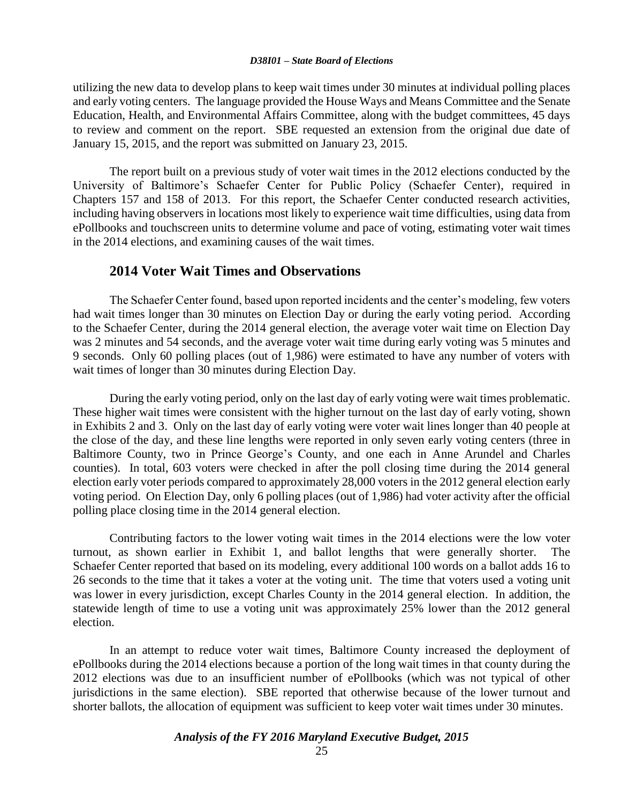utilizing the new data to develop plans to keep wait times under 30 minutes at individual polling places and early voting centers. The language provided the House Ways and Means Committee and the Senate Education, Health, and Environmental Affairs Committee, along with the budget committees, 45 days to review and comment on the report. SBE requested an extension from the original due date of January 15, 2015, and the report was submitted on January 23, 2015.

The report built on a previous study of voter wait times in the 2012 elections conducted by the University of Baltimore's Schaefer Center for Public Policy (Schaefer Center), required in Chapters 157 and 158 of 2013. For this report, the Schaefer Center conducted research activities, including having observers in locations most likely to experience wait time difficulties, using data from ePollbooks and touchscreen units to determine volume and pace of voting, estimating voter wait times in the 2014 elections, and examining causes of the wait times.

#### **2014 Voter Wait Times and Observations**

The Schaefer Center found, based upon reported incidents and the center's modeling, few voters had wait times longer than 30 minutes on Election Day or during the early voting period. According to the Schaefer Center, during the 2014 general election, the average voter wait time on Election Day was 2 minutes and 54 seconds, and the average voter wait time during early voting was 5 minutes and 9 seconds. Only 60 polling places (out of 1,986) were estimated to have any number of voters with wait times of longer than 30 minutes during Election Day.

During the early voting period, only on the last day of early voting were wait times problematic. These higher wait times were consistent with the higher turnout on the last day of early voting, shown in Exhibits 2 and 3. Only on the last day of early voting were voter wait lines longer than 40 people at the close of the day, and these line lengths were reported in only seven early voting centers (three in Baltimore County, two in Prince George's County, and one each in Anne Arundel and Charles counties). In total, 603 voters were checked in after the poll closing time during the 2014 general election early voter periods compared to approximately 28,000 voters in the 2012 general election early voting period. On Election Day, only 6 polling places (out of 1,986) had voter activity after the official polling place closing time in the 2014 general election.

Contributing factors to the lower voting wait times in the 2014 elections were the low voter turnout, as shown earlier in Exhibit 1, and ballot lengths that were generally shorter. The Schaefer Center reported that based on its modeling, every additional 100 words on a ballot adds 16 to 26 seconds to the time that it takes a voter at the voting unit. The time that voters used a voting unit was lower in every jurisdiction, except Charles County in the 2014 general election. In addition, the statewide length of time to use a voting unit was approximately 25% lower than the 2012 general election.

In an attempt to reduce voter wait times, Baltimore County increased the deployment of ePollbooks during the 2014 elections because a portion of the long wait times in that county during the 2012 elections was due to an insufficient number of ePollbooks (which was not typical of other jurisdictions in the same election). SBE reported that otherwise because of the lower turnout and shorter ballots, the allocation of equipment was sufficient to keep voter wait times under 30 minutes.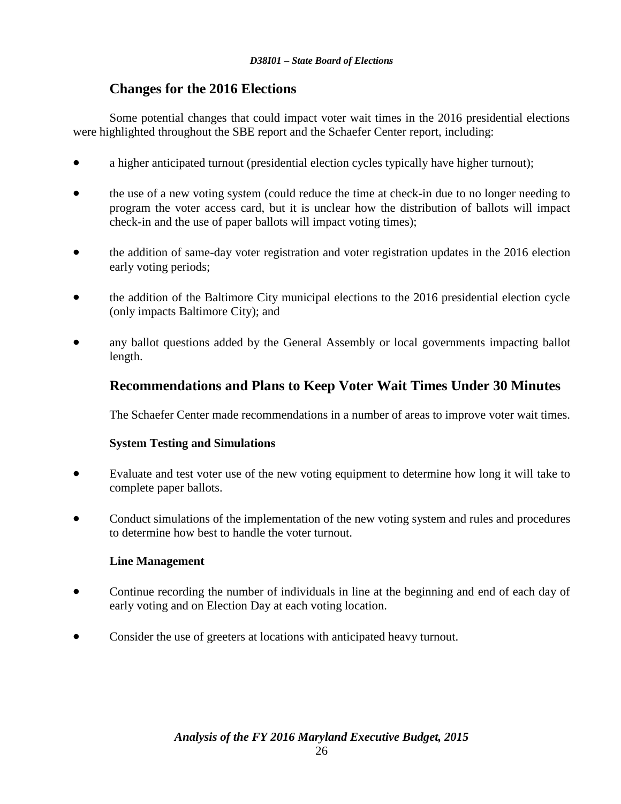# **Changes for the 2016 Elections**

Some potential changes that could impact voter wait times in the 2016 presidential elections were highlighted throughout the SBE report and the Schaefer Center report, including:

- a higher anticipated turnout (presidential election cycles typically have higher turnout);
- the use of a new voting system (could reduce the time at check-in due to no longer needing to program the voter access card, but it is unclear how the distribution of ballots will impact check-in and the use of paper ballots will impact voting times);
- the addition of same-day voter registration and voter registration updates in the 2016 election early voting periods;
- the addition of the Baltimore City municipal elections to the 2016 presidential election cycle (only impacts Baltimore City); and
- any ballot questions added by the General Assembly or local governments impacting ballot length.

# **Recommendations and Plans to Keep Voter Wait Times Under 30 Minutes**

The Schaefer Center made recommendations in a number of areas to improve voter wait times.

### **System Testing and Simulations**

- Evaluate and test voter use of the new voting equipment to determine how long it will take to complete paper ballots.
- Conduct simulations of the implementation of the new voting system and rules and procedures to determine how best to handle the voter turnout.

### **Line Management**

- Continue recording the number of individuals in line at the beginning and end of each day of early voting and on Election Day at each voting location.
- Consider the use of greeters at locations with anticipated heavy turnout.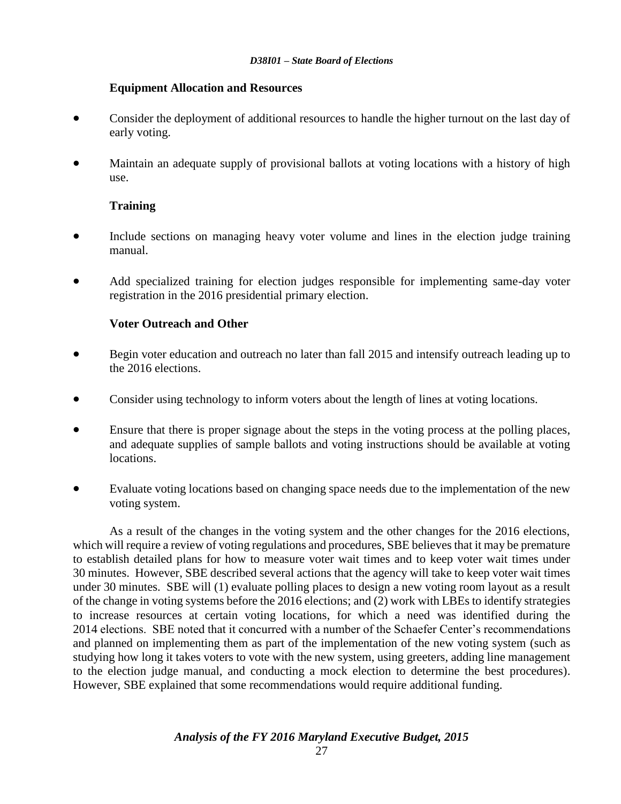#### **Equipment Allocation and Resources**

- Consider the deployment of additional resources to handle the higher turnout on the last day of early voting.
- Maintain an adequate supply of provisional ballots at voting locations with a history of high use.

#### **Training**

- Include sections on managing heavy voter volume and lines in the election judge training manual.
- Add specialized training for election judges responsible for implementing same-day voter registration in the 2016 presidential primary election.

#### **Voter Outreach and Other**

- Begin voter education and outreach no later than fall 2015 and intensify outreach leading up to the 2016 elections.
- Consider using technology to inform voters about the length of lines at voting locations.
- Ensure that there is proper signage about the steps in the voting process at the polling places, and adequate supplies of sample ballots and voting instructions should be available at voting locations.
- Evaluate voting locations based on changing space needs due to the implementation of the new voting system.

As a result of the changes in the voting system and the other changes for the 2016 elections, which will require a review of voting regulations and procedures, SBE believes that it may be premature to establish detailed plans for how to measure voter wait times and to keep voter wait times under 30 minutes. However, SBE described several actions that the agency will take to keep voter wait times under 30 minutes. SBE will (1) evaluate polling places to design a new voting room layout as a result of the change in voting systems before the 2016 elections; and (2) work with LBEs to identify strategies to increase resources at certain voting locations, for which a need was identified during the 2014 elections. SBE noted that it concurred with a number of the Schaefer Center's recommendations and planned on implementing them as part of the implementation of the new voting system (such as studying how long it takes voters to vote with the new system, using greeters, adding line management to the election judge manual, and conducting a mock election to determine the best procedures). However, SBE explained that some recommendations would require additional funding.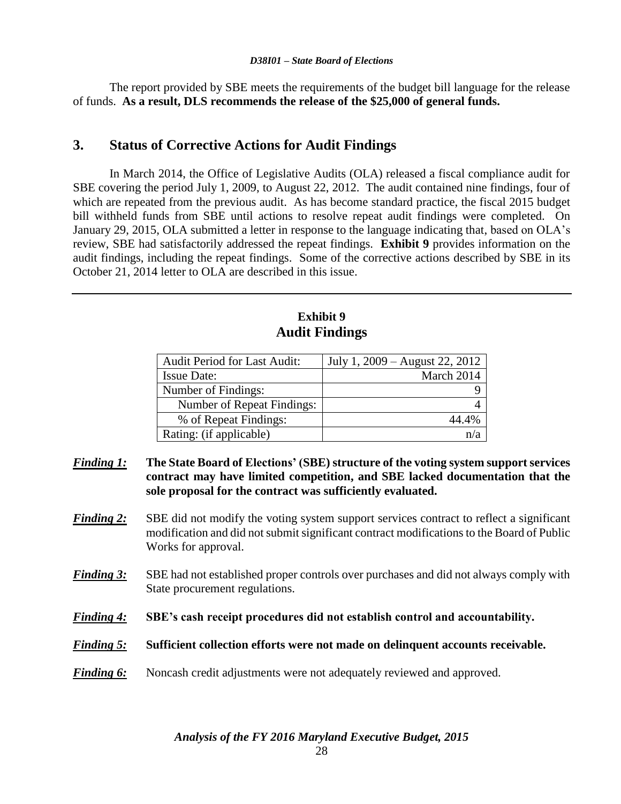The report provided by SBE meets the requirements of the budget bill language for the release of funds. **As a result, DLS recommends the release of the \$25,000 of general funds.**

## **3. Status of Corrective Actions for Audit Findings**

In March 2014, the Office of Legislative Audits (OLA) released a fiscal compliance audit for SBE covering the period July 1, 2009, to August 22, 2012. The audit contained nine findings, four of which are repeated from the previous audit. As has become standard practice, the fiscal 2015 budget bill withheld funds from SBE until actions to resolve repeat audit findings were completed. On January 29, 2015, OLA submitted a letter in response to the language indicating that, based on OLA's review, SBE had satisfactorily addressed the repeat findings. **Exhibit 9** provides information on the audit findings, including the repeat findings. Some of the corrective actions described by SBE in its October 21, 2014 letter to OLA are described in this issue.

# **Exhibit 9 Audit Findings**

| <b>Audit Period for Last Audit:</b> | July 1, 2009 – August 22, 2012 |
|-------------------------------------|--------------------------------|
| <b>Issue Date:</b>                  | March 2014                     |
| Number of Findings:                 |                                |
| Number of Repeat Findings:          |                                |
| % of Repeat Findings:               | 44.4%                          |
| Rating: (if applicable)             |                                |

- *Finding 1:* **The State Board of Elections' (SBE) structure of the voting system support services contract may have limited competition, and SBE lacked documentation that the sole proposal for the contract was sufficiently evaluated.**
- *Finding 2:* SBE did not modify the voting system support services contract to reflect a significant modification and did not submit significant contract modifications to the Board of Public Works for approval.
- **Finding 3:** SBE had not established proper controls over purchases and did not always comply with State procurement regulations.
- *Finding 4:* **SBE's cash receipt procedures did not establish control and accountability.**
- *Finding 5:* **Sufficient collection efforts were not made on delinquent accounts receivable.**
- *Finding 6:* Noncash credit adjustments were not adequately reviewed and approved.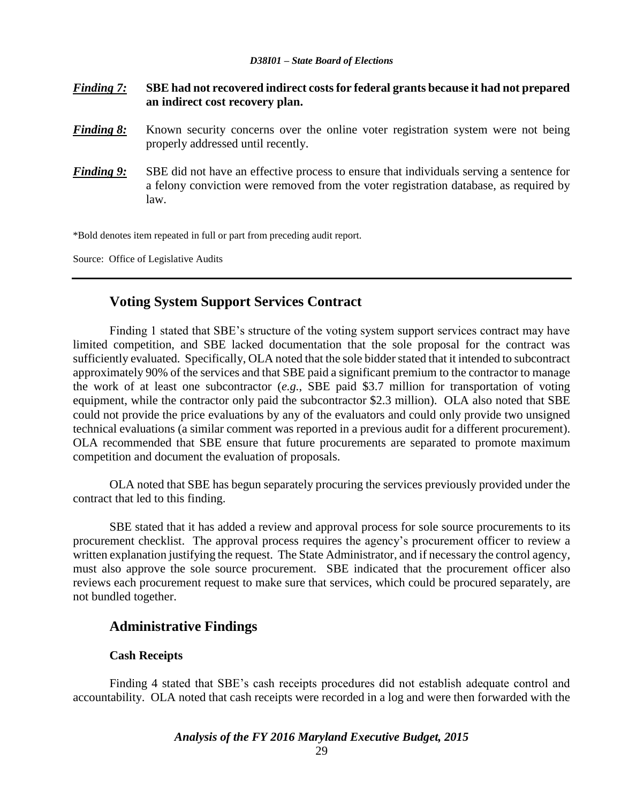- *Finding 7:* **SBE had not recovered indirect costs for federal grants because it had not prepared an indirect cost recovery plan.**
- *Finding 8:* Known security concerns over the online voter registration system were not being properly addressed until recently.
- *Finding 9:* SBE did not have an effective process to ensure that individuals serving a sentence for a felony conviction were removed from the voter registration database, as required by law.

\*Bold denotes item repeated in full or part from preceding audit report.

Source: Office of Legislative Audits

# **Voting System Support Services Contract**

Finding 1 stated that SBE's structure of the voting system support services contract may have limited competition, and SBE lacked documentation that the sole proposal for the contract was sufficiently evaluated. Specifically, OLA noted that the sole bidder stated that it intended to subcontract approximately 90% of the services and that SBE paid a significant premium to the contractor to manage the work of at least one subcontractor (*e.g.*, SBE paid \$3.7 million for transportation of voting equipment, while the contractor only paid the subcontractor \$2.3 million). OLA also noted that SBE could not provide the price evaluations by any of the evaluators and could only provide two unsigned technical evaluations (a similar comment was reported in a previous audit for a different procurement). OLA recommended that SBE ensure that future procurements are separated to promote maximum competition and document the evaluation of proposals.

OLA noted that SBE has begun separately procuring the services previously provided under the contract that led to this finding.

SBE stated that it has added a review and approval process for sole source procurements to its procurement checklist. The approval process requires the agency's procurement officer to review a written explanation justifying the request. The State Administrator, and if necessary the control agency, must also approve the sole source procurement. SBE indicated that the procurement officer also reviews each procurement request to make sure that services, which could be procured separately, are not bundled together.

## **Administrative Findings**

#### **Cash Receipts**

Finding 4 stated that SBE's cash receipts procedures did not establish adequate control and accountability. OLA noted that cash receipts were recorded in a log and were then forwarded with the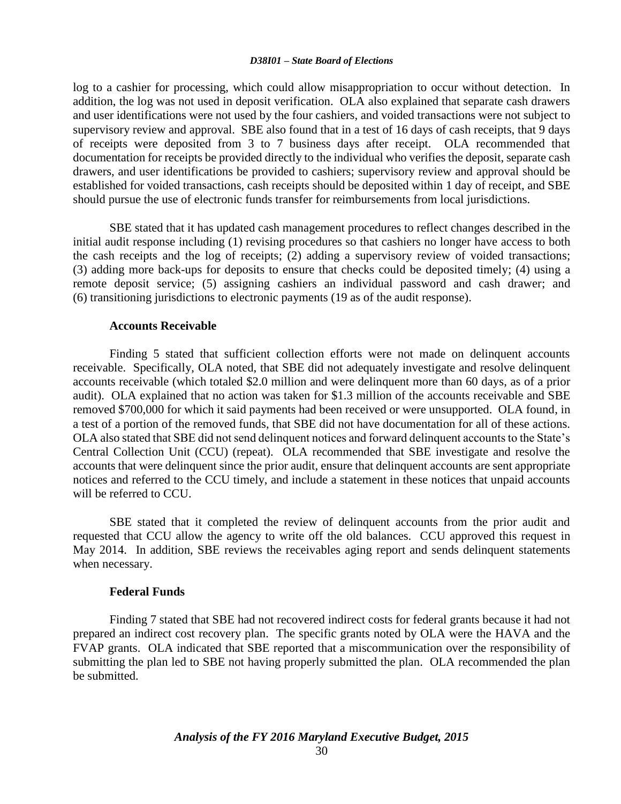log to a cashier for processing, which could allow misappropriation to occur without detection. In addition, the log was not used in deposit verification. OLA also explained that separate cash drawers and user identifications were not used by the four cashiers, and voided transactions were not subject to supervisory review and approval. SBE also found that in a test of 16 days of cash receipts, that 9 days of receipts were deposited from 3 to 7 business days after receipt. OLA recommended that documentation for receipts be provided directly to the individual who verifies the deposit, separate cash drawers, and user identifications be provided to cashiers; supervisory review and approval should be established for voided transactions, cash receipts should be deposited within 1 day of receipt, and SBE should pursue the use of electronic funds transfer for reimbursements from local jurisdictions.

SBE stated that it has updated cash management procedures to reflect changes described in the initial audit response including (1) revising procedures so that cashiers no longer have access to both the cash receipts and the log of receipts; (2) adding a supervisory review of voided transactions; (3) adding more back-ups for deposits to ensure that checks could be deposited timely; (4) using a remote deposit service; (5) assigning cashiers an individual password and cash drawer; and (6) transitioning jurisdictions to electronic payments (19 as of the audit response).

#### **Accounts Receivable**

Finding 5 stated that sufficient collection efforts were not made on delinquent accounts receivable. Specifically, OLA noted, that SBE did not adequately investigate and resolve delinquent accounts receivable (which totaled \$2.0 million and were delinquent more than 60 days, as of a prior audit). OLA explained that no action was taken for \$1.3 million of the accounts receivable and SBE removed \$700,000 for which it said payments had been received or were unsupported. OLA found, in a test of a portion of the removed funds, that SBE did not have documentation for all of these actions. OLA also stated that SBE did not send delinquent notices and forward delinquent accounts to the State's Central Collection Unit (CCU) (repeat). OLA recommended that SBE investigate and resolve the accounts that were delinquent since the prior audit, ensure that delinquent accounts are sent appropriate notices and referred to the CCU timely, and include a statement in these notices that unpaid accounts will be referred to CCU.

SBE stated that it completed the review of delinquent accounts from the prior audit and requested that CCU allow the agency to write off the old balances. CCU approved this request in May 2014. In addition, SBE reviews the receivables aging report and sends delinquent statements when necessary.

#### **Federal Funds**

Finding 7 stated that SBE had not recovered indirect costs for federal grants because it had not prepared an indirect cost recovery plan. The specific grants noted by OLA were the HAVA and the FVAP grants. OLA indicated that SBE reported that a miscommunication over the responsibility of submitting the plan led to SBE not having properly submitted the plan. OLA recommended the plan be submitted.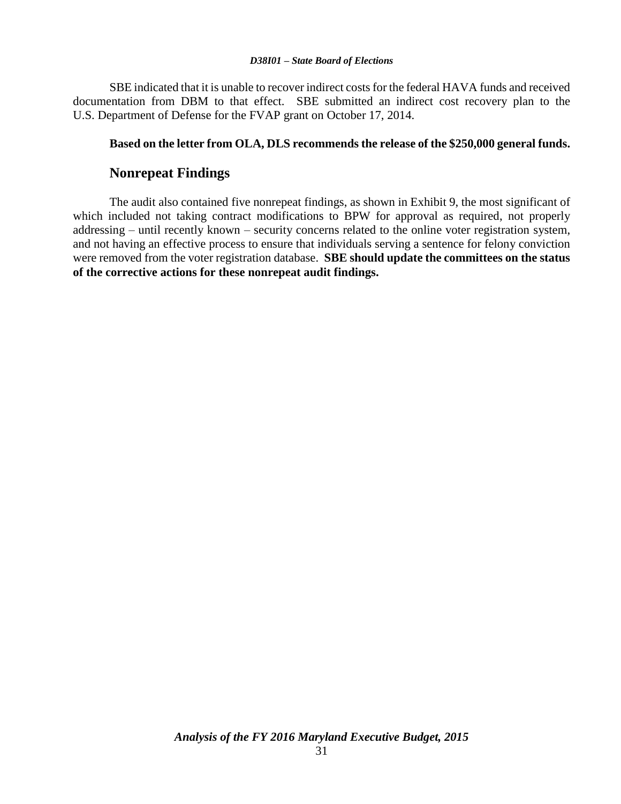SBE indicated that it is unable to recover indirect costs for the federal HAVA funds and received documentation from DBM to that effect. SBE submitted an indirect cost recovery plan to the U.S. Department of Defense for the FVAP grant on October 17, 2014.

#### **Based on the letter from OLA, DLS recommends the release of the \$250,000 general funds.**

### **Nonrepeat Findings**

The audit also contained five nonrepeat findings, as shown in Exhibit 9, the most significant of which included not taking contract modifications to BPW for approval as required, not properly addressing – until recently known – security concerns related to the online voter registration system, and not having an effective process to ensure that individuals serving a sentence for felony conviction were removed from the voter registration database. **SBE should update the committees on the status of the corrective actions for these nonrepeat audit findings.**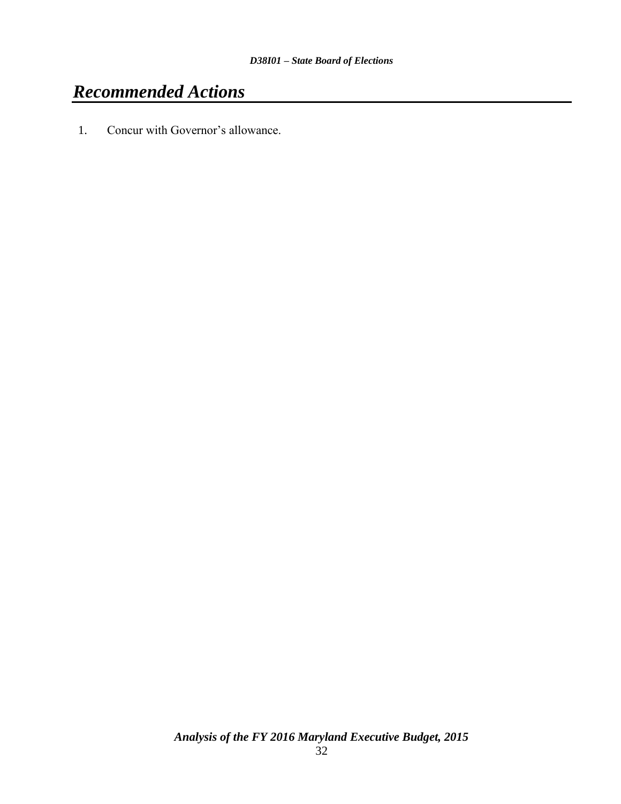# *Recommended Actions*

1. Concur with Governor's allowance.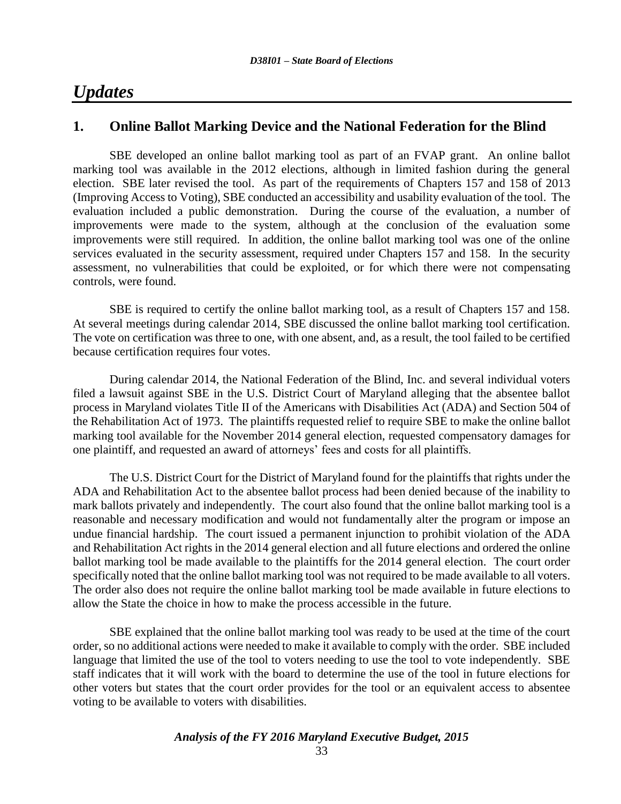# *Updates*

## **1. Online Ballot Marking Device and the National Federation for the Blind**

SBE developed an online ballot marking tool as part of an FVAP grant. An online ballot marking tool was available in the 2012 elections, although in limited fashion during the general election. SBE later revised the tool. As part of the requirements of Chapters 157 and 158 of 2013 (Improving Access to Voting), SBE conducted an accessibility and usability evaluation of the tool. The evaluation included a public demonstration. During the course of the evaluation, a number of improvements were made to the system, although at the conclusion of the evaluation some improvements were still required. In addition, the online ballot marking tool was one of the online services evaluated in the security assessment, required under Chapters 157 and 158. In the security assessment, no vulnerabilities that could be exploited, or for which there were not compensating controls, were found.

SBE is required to certify the online ballot marking tool, as a result of Chapters 157 and 158. At several meetings during calendar 2014, SBE discussed the online ballot marking tool certification. The vote on certification was three to one, with one absent, and, as a result, the tool failed to be certified because certification requires four votes.

During calendar 2014, the National Federation of the Blind, Inc. and several individual voters filed a lawsuit against SBE in the U.S. District Court of Maryland alleging that the absentee ballot process in Maryland violates Title II of the Americans with Disabilities Act (ADA) and Section 504 of the Rehabilitation Act of 1973. The plaintiffs requested relief to require SBE to make the online ballot marking tool available for the November 2014 general election, requested compensatory damages for one plaintiff, and requested an award of attorneys' fees and costs for all plaintiffs.

The U.S. District Court for the District of Maryland found for the plaintiffs that rights under the ADA and Rehabilitation Act to the absentee ballot process had been denied because of the inability to mark ballots privately and independently. The court also found that the online ballot marking tool is a reasonable and necessary modification and would not fundamentally alter the program or impose an undue financial hardship. The court issued a permanent injunction to prohibit violation of the ADA and Rehabilitation Act rights in the 2014 general election and all future elections and ordered the online ballot marking tool be made available to the plaintiffs for the 2014 general election. The court order specifically noted that the online ballot marking tool was not required to be made available to all voters. The order also does not require the online ballot marking tool be made available in future elections to allow the State the choice in how to make the process accessible in the future.

SBE explained that the online ballot marking tool was ready to be used at the time of the court order, so no additional actions were needed to make it available to comply with the order. SBE included language that limited the use of the tool to voters needing to use the tool to vote independently. SBE staff indicates that it will work with the board to determine the use of the tool in future elections for other voters but states that the court order provides for the tool or an equivalent access to absentee voting to be available to voters with disabilities.

*Analysis of the FY 2016 Maryland Executive Budget, 2015*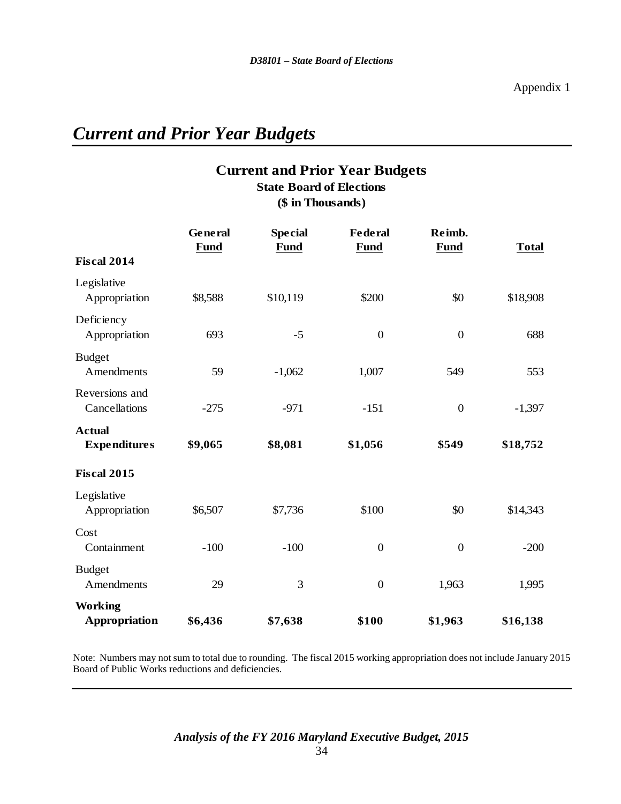# *Current and Prior Year Budgets*

# **Current and Prior Year Budgets (\$ in Thousands) State Board of Elections**

|                                      | General<br><b>Fund</b> | <b>Special</b><br><b>Fund</b> | <b>Federal</b><br><b>Fund</b> | Reimb.<br><b>Fund</b> | <b>Total</b> |
|--------------------------------------|------------------------|-------------------------------|-------------------------------|-----------------------|--------------|
| <b>Fiscal 2014</b>                   |                        |                               |                               |                       |              |
| Legislative<br>Appropriation         | \$8,588                | \$10,119                      | \$200                         | \$0                   | \$18,908     |
| Deficiency<br>Appropriation          | 693                    | $-5$                          | $\boldsymbol{0}$              | $\boldsymbol{0}$      | 688          |
| <b>Budget</b><br>Amendments          | 59                     | $-1,062$                      | 1,007                         | 549                   | 553          |
| Reversions and<br>Cancellations      | $-275$                 | $-971$                        | $-151$                        | $\boldsymbol{0}$      | $-1,397$     |
| <b>Actual</b><br><b>Expenditures</b> | \$9,065                | \$8,081                       | \$1,056                       | \$549                 | \$18,752     |
| <b>Fiscal 2015</b>                   |                        |                               |                               |                       |              |
| Legislative<br>Appropriation         | \$6,507                | \$7,736                       | \$100                         | \$0                   | \$14,343     |
| Cost<br>Containment                  | $-100$                 | $-100$                        | $\boldsymbol{0}$              | $\boldsymbol{0}$      | $-200$       |
| <b>Budget</b><br>Amendments          | 29                     | 3                             | $\boldsymbol{0}$              | 1,963                 | 1,995        |
| <b>Working</b><br>Appropriation      | \$6,436                | \$7,638                       | \$100                         | \$1,963               | \$16,138     |

Note: Numbers may not sum to total due to rounding. The fiscal 2015 working appropriation does not include January 2015 Board of Public Works reductions and deficiencies.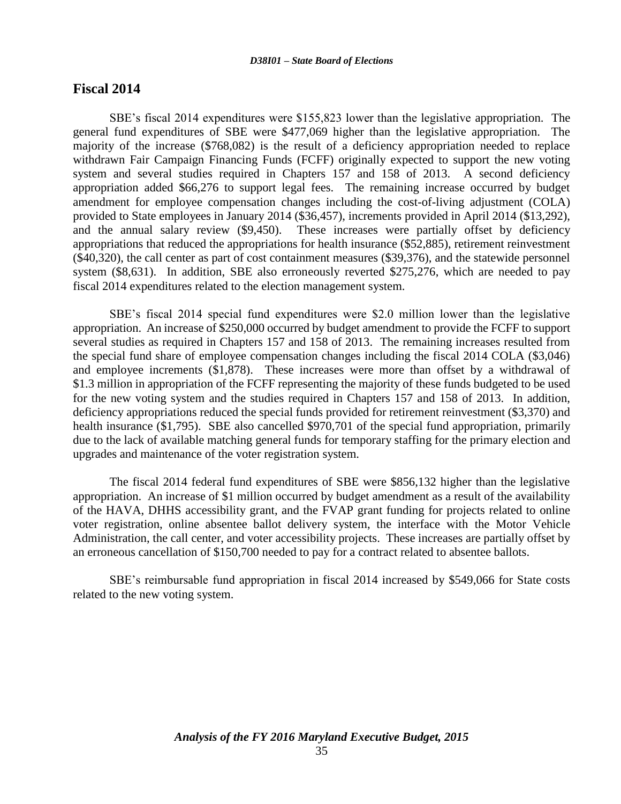#### **Fiscal 2014**

SBE's fiscal 2014 expenditures were \$155,823 lower than the legislative appropriation. The general fund expenditures of SBE were \$477,069 higher than the legislative appropriation. The majority of the increase (\$768,082) is the result of a deficiency appropriation needed to replace withdrawn Fair Campaign Financing Funds (FCFF) originally expected to support the new voting system and several studies required in Chapters 157 and 158 of 2013. A second deficiency appropriation added \$66,276 to support legal fees. The remaining increase occurred by budget amendment for employee compensation changes including the cost-of-living adjustment (COLA) provided to State employees in January 2014 (\$36,457), increments provided in April 2014 (\$13,292), and the annual salary review (\$9,450). These increases were partially offset by deficiency appropriations that reduced the appropriations for health insurance (\$52,885), retirement reinvestment (\$40,320), the call center as part of cost containment measures (\$39,376), and the statewide personnel system (\$8,631). In addition, SBE also erroneously reverted \$275,276, which are needed to pay fiscal 2014 expenditures related to the election management system.

SBE's fiscal 2014 special fund expenditures were \$2.0 million lower than the legislative appropriation. An increase of \$250,000 occurred by budget amendment to provide the FCFF to support several studies as required in Chapters 157 and 158 of 2013. The remaining increases resulted from the special fund share of employee compensation changes including the fiscal 2014 COLA (\$3,046) and employee increments (\$1,878). These increases were more than offset by a withdrawal of \$1.3 million in appropriation of the FCFF representing the majority of these funds budgeted to be used for the new voting system and the studies required in Chapters 157 and 158 of 2013. In addition, deficiency appropriations reduced the special funds provided for retirement reinvestment (\$3,370) and health insurance (\$1,795). SBE also cancelled \$970,701 of the special fund appropriation, primarily due to the lack of available matching general funds for temporary staffing for the primary election and upgrades and maintenance of the voter registration system.

The fiscal 2014 federal fund expenditures of SBE were \$856,132 higher than the legislative appropriation. An increase of \$1 million occurred by budget amendment as a result of the availability of the HAVA, DHHS accessibility grant, and the FVAP grant funding for projects related to online voter registration, online absentee ballot delivery system, the interface with the Motor Vehicle Administration, the call center, and voter accessibility projects. These increases are partially offset by an erroneous cancellation of \$150,700 needed to pay for a contract related to absentee ballots.

SBE's reimbursable fund appropriation in fiscal 2014 increased by \$549,066 for State costs related to the new voting system.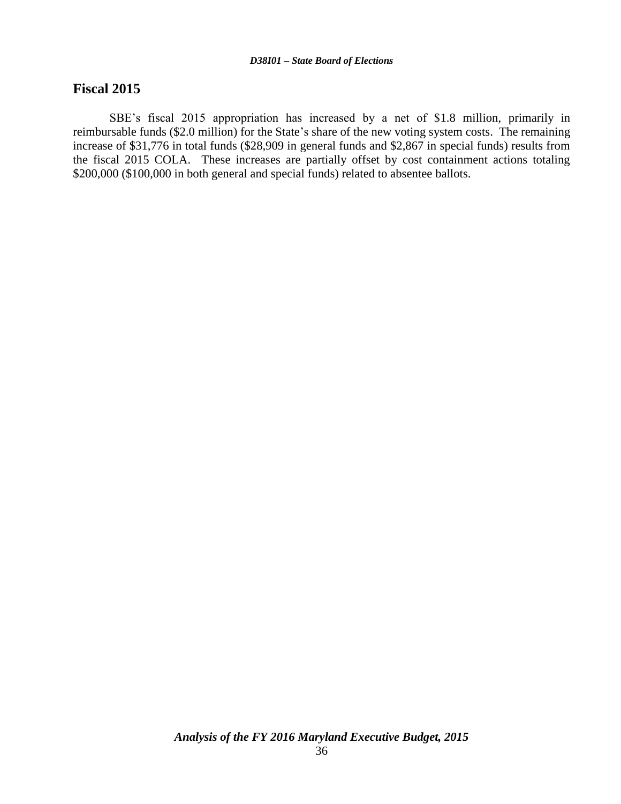#### **Fiscal 2015**

SBE's fiscal 2015 appropriation has increased by a net of \$1.8 million, primarily in reimbursable funds (\$2.0 million) for the State's share of the new voting system costs. The remaining increase of \$31,776 in total funds (\$28,909 in general funds and \$2,867 in special funds) results from the fiscal 2015 COLA. These increases are partially offset by cost containment actions totaling \$200,000 (\$100,000 in both general and special funds) related to absentee ballots.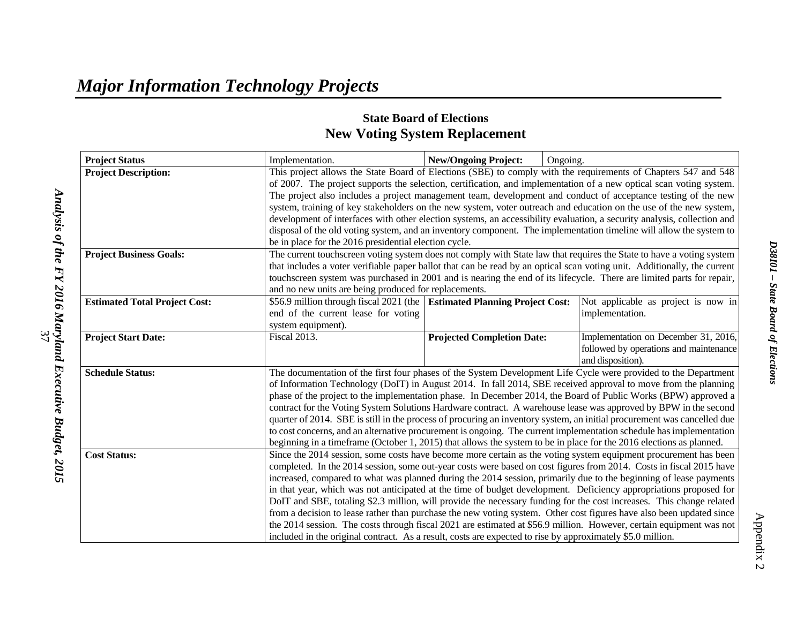# **State Board of Elections New Voting System Replacement**

| <b>Project Status</b>                | Implementation.                                                                                                                                                                                                                                                                                                                                                                                                                                                                       | <b>New/Ongoing Project:</b>                                                                                                                                                                                                                      | Ongoing.                                                                                                        |                                        |  |  |
|--------------------------------------|---------------------------------------------------------------------------------------------------------------------------------------------------------------------------------------------------------------------------------------------------------------------------------------------------------------------------------------------------------------------------------------------------------------------------------------------------------------------------------------|--------------------------------------------------------------------------------------------------------------------------------------------------------------------------------------------------------------------------------------------------|-----------------------------------------------------------------------------------------------------------------|----------------------------------------|--|--|
| <b>Project Description:</b>          |                                                                                                                                                                                                                                                                                                                                                                                                                                                                                       |                                                                                                                                                                                                                                                  | This project allows the State Board of Elections (SBE) to comply with the requirements of Chapters 547 and 548  |                                        |  |  |
|                                      |                                                                                                                                                                                                                                                                                                                                                                                                                                                                                       | of 2007. The project supports the selection, certification, and implementation of a new optical scan voting system.                                                                                                                              |                                                                                                                 |                                        |  |  |
|                                      | The project also includes a project management team, development and conduct of acceptance testing of the new                                                                                                                                                                                                                                                                                                                                                                         |                                                                                                                                                                                                                                                  |                                                                                                                 |                                        |  |  |
|                                      | system, training of key stakeholders on the new system, voter outreach and education on the use of the new system,                                                                                                                                                                                                                                                                                                                                                                    |                                                                                                                                                                                                                                                  |                                                                                                                 |                                        |  |  |
|                                      | development of interfaces with other election systems, an accessibility evaluation, a security analysis, collection and                                                                                                                                                                                                                                                                                                                                                               |                                                                                                                                                                                                                                                  |                                                                                                                 |                                        |  |  |
|                                      | disposal of the old voting system, and an inventory component. The implementation timeline will allow the system to                                                                                                                                                                                                                                                                                                                                                                   |                                                                                                                                                                                                                                                  |                                                                                                                 |                                        |  |  |
|                                      |                                                                                                                                                                                                                                                                                                                                                                                                                                                                                       | be in place for the 2016 presidential election cycle.                                                                                                                                                                                            |                                                                                                                 |                                        |  |  |
| <b>Project Business Goals:</b>       |                                                                                                                                                                                                                                                                                                                                                                                                                                                                                       | The current touchscreen voting system does not comply with State law that requires the State to have a voting system<br>that includes a voter verifiable paper ballot that can be read by an optical scan voting unit. Additionally, the current |                                                                                                                 |                                        |  |  |
|                                      |                                                                                                                                                                                                                                                                                                                                                                                                                                                                                       |                                                                                                                                                                                                                                                  |                                                                                                                 |                                        |  |  |
|                                      | touchscreen system was purchased in 2001 and is nearing the end of its lifecycle. There are limited parts for repair,                                                                                                                                                                                                                                                                                                                                                                 |                                                                                                                                                                                                                                                  |                                                                                                                 |                                        |  |  |
|                                      | and no new units are being produced for replacements.                                                                                                                                                                                                                                                                                                                                                                                                                                 |                                                                                                                                                                                                                                                  |                                                                                                                 |                                        |  |  |
| <b>Estimated Total Project Cost:</b> | \$56.9 million through fiscal 2021 (the Estimated Planning Project Cost:                                                                                                                                                                                                                                                                                                                                                                                                              |                                                                                                                                                                                                                                                  |                                                                                                                 | Not applicable as project is now in    |  |  |
|                                      | end of the current lease for voting                                                                                                                                                                                                                                                                                                                                                                                                                                                   |                                                                                                                                                                                                                                                  |                                                                                                                 | implementation.                        |  |  |
|                                      | system equipment).                                                                                                                                                                                                                                                                                                                                                                                                                                                                    |                                                                                                                                                                                                                                                  |                                                                                                                 |                                        |  |  |
| <b>Project Start Date:</b>           | <b>Fiscal 2013.</b>                                                                                                                                                                                                                                                                                                                                                                                                                                                                   | <b>Projected Completion Date:</b>                                                                                                                                                                                                                |                                                                                                                 | Implementation on December 31, 2016,   |  |  |
|                                      |                                                                                                                                                                                                                                                                                                                                                                                                                                                                                       |                                                                                                                                                                                                                                                  |                                                                                                                 | followed by operations and maintenance |  |  |
|                                      |                                                                                                                                                                                                                                                                                                                                                                                                                                                                                       |                                                                                                                                                                                                                                                  |                                                                                                                 | and disposition).                      |  |  |
| <b>Schedule Status:</b>              |                                                                                                                                                                                                                                                                                                                                                                                                                                                                                       |                                                                                                                                                                                                                                                  | The documentation of the first four phases of the System Development Life Cycle were provided to the Department |                                        |  |  |
|                                      | of Information Technology (DoIT) in August 2014. In fall 2014, SBE received approval to move from the planning                                                                                                                                                                                                                                                                                                                                                                        |                                                                                                                                                                                                                                                  |                                                                                                                 |                                        |  |  |
|                                      | phase of the project to the implementation phase. In December 2014, the Board of Public Works (BPW) approved a<br>contract for the Voting System Solutions Hardware contract. A warehouse lease was approved by BPW in the second                                                                                                                                                                                                                                                     |                                                                                                                                                                                                                                                  |                                                                                                                 |                                        |  |  |
|                                      |                                                                                                                                                                                                                                                                                                                                                                                                                                                                                       |                                                                                                                                                                                                                                                  |                                                                                                                 |                                        |  |  |
|                                      | quarter of 2014. SBE is still in the process of procuring an inventory system, an initial procurement was cancelled due<br>to cost concerns, and an alternative procurement is ongoing. The current implementation schedule has implementation                                                                                                                                                                                                                                        |                                                                                                                                                                                                                                                  |                                                                                                                 |                                        |  |  |
|                                      |                                                                                                                                                                                                                                                                                                                                                                                                                                                                                       |                                                                                                                                                                                                                                                  |                                                                                                                 |                                        |  |  |
|                                      | beginning in a timeframe (October 1, 2015) that allows the system to be in place for the 2016 elections as planned.                                                                                                                                                                                                                                                                                                                                                                   |                                                                                                                                                                                                                                                  |                                                                                                                 |                                        |  |  |
| <b>Cost Status:</b>                  |                                                                                                                                                                                                                                                                                                                                                                                                                                                                                       | Since the 2014 session, some costs have become more certain as the voting system equipment procurement has been                                                                                                                                  |                                                                                                                 |                                        |  |  |
|                                      | completed. In the 2014 session, some out-year costs were based on cost figures from 2014. Costs in fiscal 2015 have<br>increased, compared to what was planned during the 2014 session, primarily due to the beginning of lease payments<br>in that year, which was not anticipated at the time of budget development. Deficiency appropriations proposed for<br>DoIT and SBE, totaling \$2.3 million, will provide the necessary funding for the cost increases. This change related |                                                                                                                                                                                                                                                  |                                                                                                                 |                                        |  |  |
|                                      |                                                                                                                                                                                                                                                                                                                                                                                                                                                                                       |                                                                                                                                                                                                                                                  |                                                                                                                 |                                        |  |  |
|                                      |                                                                                                                                                                                                                                                                                                                                                                                                                                                                                       |                                                                                                                                                                                                                                                  |                                                                                                                 |                                        |  |  |
|                                      |                                                                                                                                                                                                                                                                                                                                                                                                                                                                                       |                                                                                                                                                                                                                                                  |                                                                                                                 |                                        |  |  |
|                                      | from a decision to lease rather than purchase the new voting system. Other cost figures have also been updated since<br>the 2014 session. The costs through fiscal 2021 are estimated at \$56.9 million. However, certain equipment was not<br>included in the original contract. As a result, costs are expected to rise by approximately \$5.0 million.                                                                                                                             |                                                                                                                                                                                                                                                  |                                                                                                                 |                                        |  |  |
|                                      |                                                                                                                                                                                                                                                                                                                                                                                                                                                                                       |                                                                                                                                                                                                                                                  |                                                                                                                 |                                        |  |  |
|                                      |                                                                                                                                                                                                                                                                                                                                                                                                                                                                                       |                                                                                                                                                                                                                                                  |                                                                                                                 |                                        |  |  |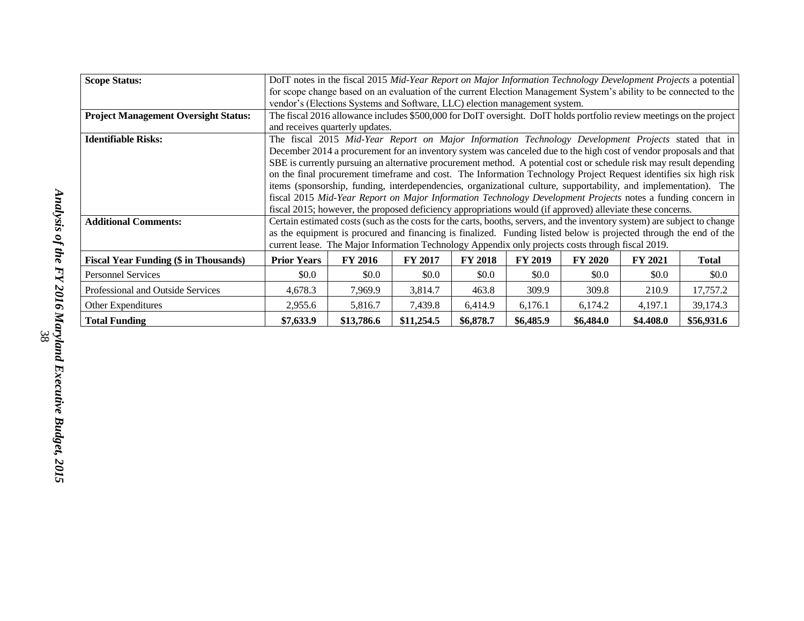| <b>Scope Status:</b>                         | DoIT notes in the fiscal 2015 Mid-Year Report on Major Information Technology Development Projects a potential             |                |                |                |                |                |                |              |
|----------------------------------------------|----------------------------------------------------------------------------------------------------------------------------|----------------|----------------|----------------|----------------|----------------|----------------|--------------|
|                                              | for scope change based on an evaluation of the current Election Management System's ability to be connected to the         |                |                |                |                |                |                |              |
|                                              | vendor's (Elections Systems and Software, LLC) election management system.                                                 |                |                |                |                |                |                |              |
| <b>Project Management Oversight Status:</b>  | The fiscal 2016 allowance includes \$500,000 for DoIT oversight. DoIT holds portfolio review meetings on the project       |                |                |                |                |                |                |              |
|                                              | and receives quarterly updates.                                                                                            |                |                |                |                |                |                |              |
| <b>Identifiable Risks:</b>                   | The fiscal 2015 Mid-Year Report on Major Information Technology Development Projects stated that in                        |                |                |                |                |                |                |              |
|                                              | December 2014 a procurement for an inventory system was canceled due to the high cost of vendor proposals and that         |                |                |                |                |                |                |              |
|                                              | SBE is currently pursuing an alternative procurement method. A potential cost or schedule risk may result depending        |                |                |                |                |                |                |              |
|                                              | on the final procurement timeframe and cost. The Information Technology Project Request identifies six high risk           |                |                |                |                |                |                |              |
|                                              | items (sponsorship, funding, interdependencies, organizational culture, supportability, and implementation). The           |                |                |                |                |                |                |              |
|                                              | fiscal 2015 Mid-Year Report on Major Information Technology Development Projects notes a funding concern in                |                |                |                |                |                |                |              |
|                                              | fiscal 2015; however, the proposed deficiency appropriations would (if approved) alleviate these concerns.                 |                |                |                |                |                |                |              |
| <b>Additional Comments:</b>                  | Certain estimated costs (such as the costs for the carts, booths, servers, and the inventory system) are subject to change |                |                |                |                |                |                |              |
|                                              | as the equipment is procured and financing is finalized. Funding listed below is projected through the end of the          |                |                |                |                |                |                |              |
|                                              | current lease. The Major Information Technology Appendix only projects costs through fiscal 2019.                          |                |                |                |                |                |                |              |
| <b>Fiscal Year Funding (\$ in Thousands)</b> | <b>Prior Years</b>                                                                                                         | <b>FY 2016</b> | <b>FY 2017</b> | <b>FY 2018</b> | <b>FY 2019</b> | <b>FY 2020</b> | <b>FY 2021</b> | <b>Total</b> |
| <b>Personnel Services</b>                    | \$0.0\$                                                                                                                    | \$0.0          | \$0.0          | \$0.0          | \$0.0          | \$0.0\$        | \$0.0          | \$0.0        |
| Professional and Outside Services            | 4,678.3                                                                                                                    | 7,969.9        | 3,814.7        | 463.8          | 309.9          | 309.8          | 210.9          | 17,757.2     |
| Other Expenditures                           | 2,955.6                                                                                                                    | 5,816.7        | 7,439.8        | 6,414.9        | 6,176.1        | 6,174.2        | 4,197.1        | 39,174.3     |
| <b>Total Funding</b>                         | \$7,633.9                                                                                                                  | \$13,786.6     | \$11,254.5     | \$6,878.7      | \$6,485.9      | \$6,484.0      | \$4.408.0      | \$56,931.6   |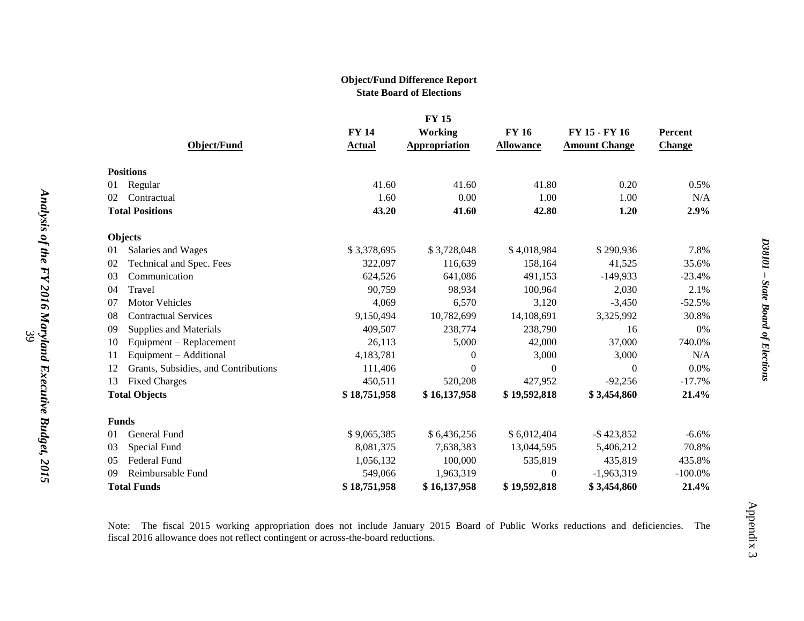#### **Object/Fund Difference Report State Board of Elections**

|                | <b>FY 15</b>                         |              |                |                  |                      |                |  |  |
|----------------|--------------------------------------|--------------|----------------|------------------|----------------------|----------------|--|--|
|                |                                      | <b>FY 14</b> | <b>Working</b> | <b>FY 16</b>     | FY 15 - FY 16        | <b>Percent</b> |  |  |
|                | <b>Object/Fund</b>                   | Actual       | Appropriation  | <b>Allowance</b> | <b>Amount Change</b> | <b>Change</b>  |  |  |
|                | <b>Positions</b>                     |              |                |                  |                      |                |  |  |
| 01             | Regular                              | 41.60        | 41.60          | 41.80            | 0.20                 | 0.5%           |  |  |
| 02             | Contractual                          | 1.60         | 0.00           | 1.00             | 1.00                 | N/A            |  |  |
|                | <b>Total Positions</b>               | 43.20        | 41.60          | 42.80            | 1.20                 | 2.9%           |  |  |
|                |                                      |              |                |                  |                      |                |  |  |
|                | <b>Objects</b>                       |              |                |                  |                      |                |  |  |
| 01             | Salaries and Wages                   | \$3,378,695  | \$3,728,048    | \$4,018,984      | \$290,936            | 7.8%           |  |  |
| 02             | Technical and Spec. Fees             | 322,097      | 116,639        | 158,164          | 41,525               | 35.6%          |  |  |
| 03             | Communication                        | 624,526      | 641,086        | 491,153          | $-149,933$           | $-23.4%$       |  |  |
| 04             | Travel                               | 90,759       | 98,934         | 100,964          | 2,030                | 2.1%           |  |  |
| 07             | <b>Motor Vehicles</b>                | 4,069        | 6,570          | 3,120            | $-3,450$             | $-52.5%$       |  |  |
| 08             | <b>Contractual Services</b>          | 9,150,494    | 10,782,699     | 14,108,691       | 3,325,992            | 30.8%          |  |  |
| 09             | <b>Supplies and Materials</b>        | 409,507      | 238,774        | 238,790          | 16                   | 0%             |  |  |
| 10             | Equipment - Replacement              | 26,113       | 5,000          | 42,000           | 37,000               | 740.0%         |  |  |
| 11             | Equipment - Additional               | 4,183,781    | $\theta$       | 3,000            | 3,000                | N/A            |  |  |
| 12             | Grants, Subsidies, and Contributions | 111,406      | $\theta$       | $\Omega$         | $\Omega$             | 0.0%           |  |  |
| 13             | <b>Fixed Charges</b>                 | 450,511      | 520,208        | 427,952          | $-92,256$            | $-17.7%$       |  |  |
|                | <b>Total Objects</b>                 | \$18,751,958 | \$16,137,958   | \$19,592,818     | \$3,454,860          | 21.4%          |  |  |
|                | <b>Funds</b>                         |              |                |                  |                      |                |  |  |
| 01             | General Fund                         | \$9,065,385  | \$6,436,256    | \$6,012,404      | $-$ \$423,852        | $-6.6\%$       |  |  |
| 03             | Special Fund                         | 8,081,375    | 7,638,383      | 13,044,595       | 5,406,212            | 70.8%          |  |  |
| 0 <sub>5</sub> | Federal Fund                         | 1,056,132    | 100,000        | 535,819          | 435,819              | 435.8%         |  |  |
| 09             | Reimbursable Fund                    | 549,066      | 1,963,319      | $\overline{0}$   | $-1,963,319$         | $-100.0\%$     |  |  |
|                | <b>Total Funds</b>                   | \$18,751,958 | \$16,137,958   | \$19,592,818     | \$3,454,860          | 21.4%          |  |  |
|                |                                      |              |                |                  |                      |                |  |  |

Note: The fiscal 2015 working appropriation does not include January 2015 Board of Public Works reductions and deficiencies. The fiscal 2016 allowance does not reflect contingent or across-the-board reductions.